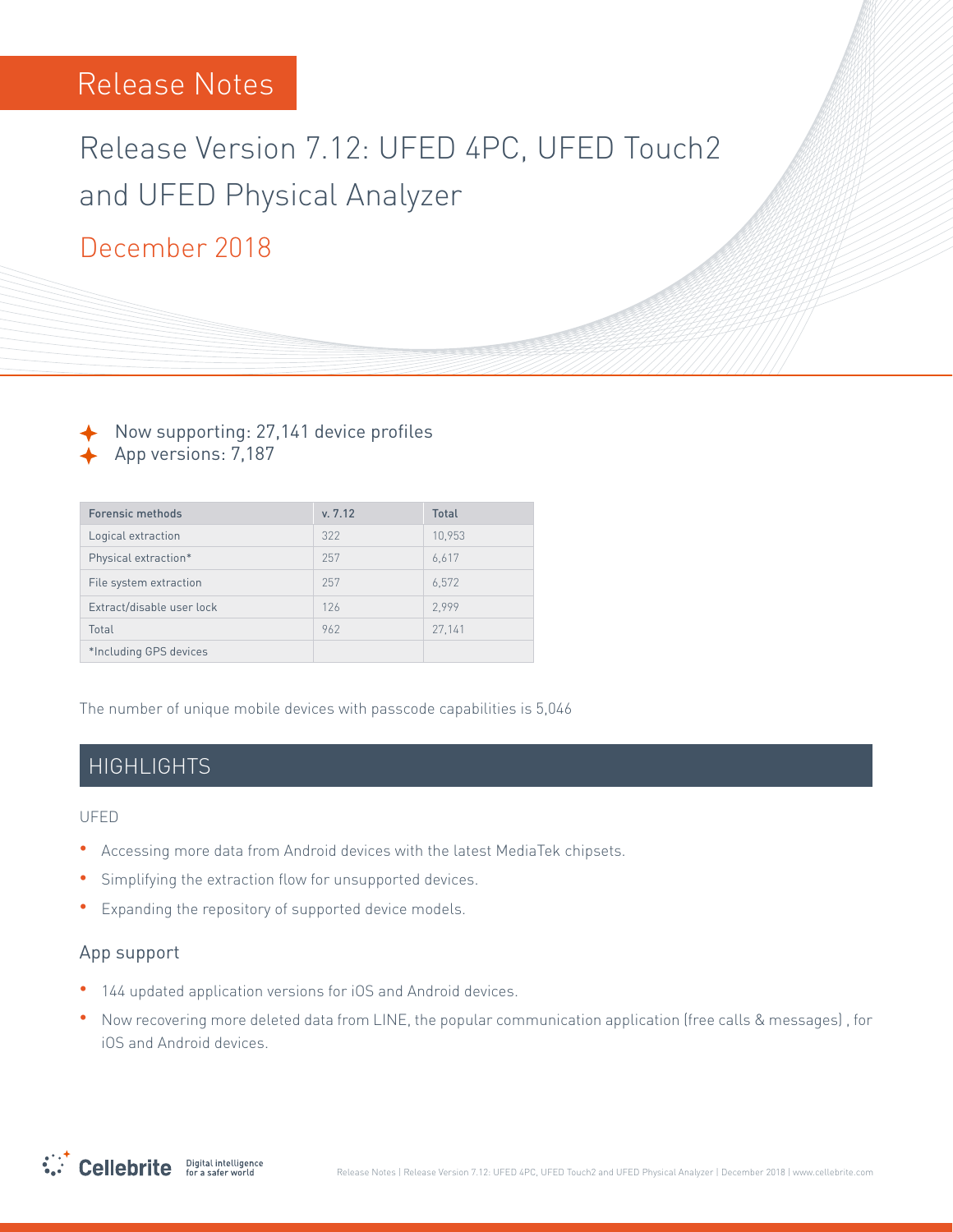# Release Version 7.12: UFED 4PC, UFED Touch2 and UFED Physical Analyzer

# December 2018

Now supporting: 27,141 device profiles App versions: 7,187

| <b>Forensic methods</b>   | v. 7.12 | <b>Total</b> |
|---------------------------|---------|--------------|
| Logical extraction        | 322     | 10.953       |
| Physical extraction*      | 257     | 6,617        |
| File system extraction    | 257     | 6,572        |
| Extract/disable user lock | 126     | 2.999        |
| Total                     | 962     | 27,141       |
| *Including GPS devices    |         |              |

The number of unique mobile devices with passcode capabilities is 5,046

#### **HIGHLIGHTS**

UFED

- Accessing more data from Android devices with the latest MediaTek chipsets.
- **•** Simplifying the extraction flow for unsupported devices.
- Expanding the repository of supported device models.

#### App support

- 144 updated application versions for iOS and Android devices.
- Now recovering more deleted data from LINE, the popular communication application (free calls & messages), for iOS and Android devices.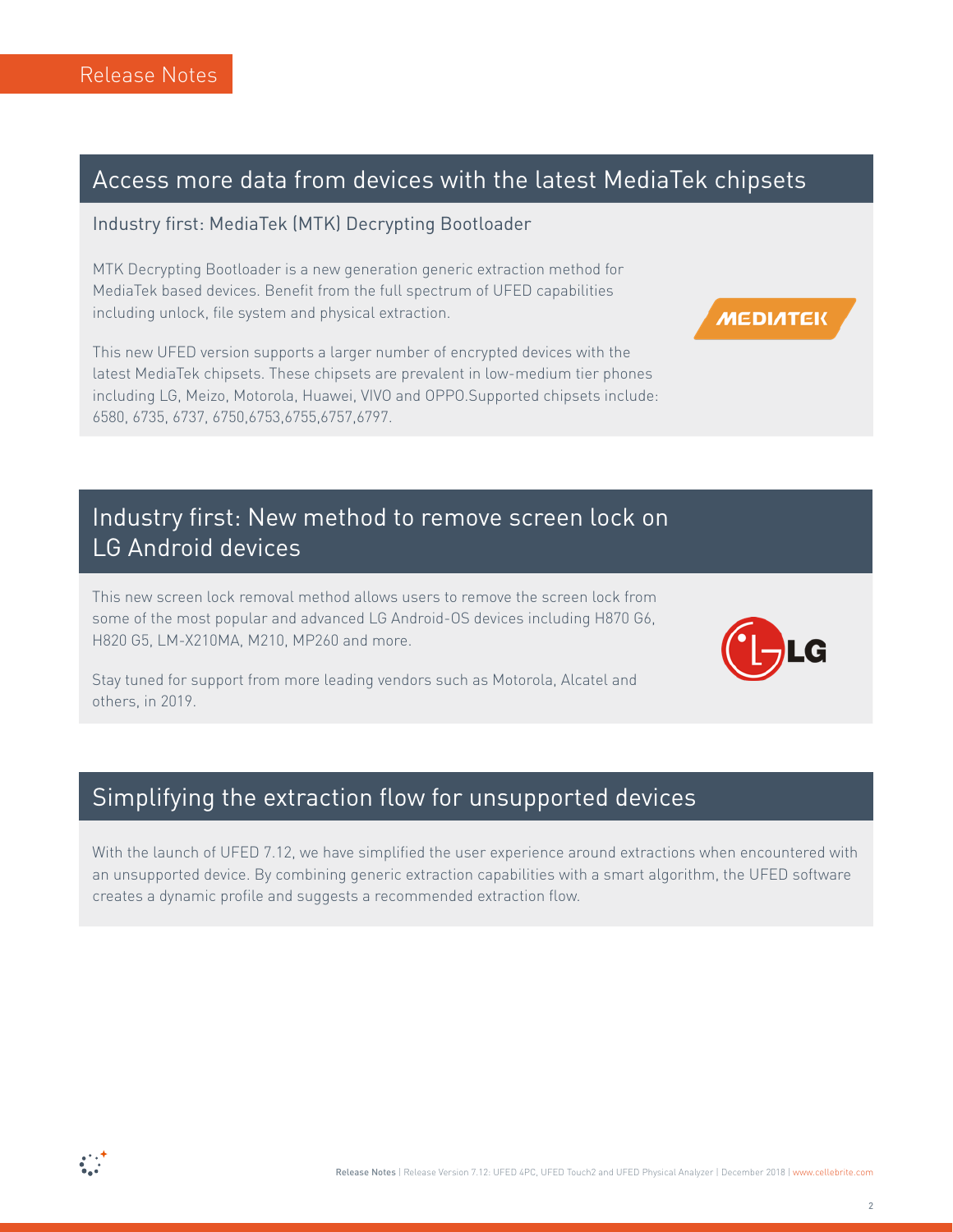## Access more data from devices with the latest MediaTek chipsets

#### Industry first: MediaTek (MTK) Decrypting Bootloader

MTK Decrypting Bootloader is a new generation generic extraction method for MediaTek based devices. Benefit from the full spectrum of UFED capabilities including unlock, file system and physical extraction.

This new UFED version supports a larger number of encrypted devices with the latest MediaTek chipsets. These chipsets are prevalent in low-medium tier phones including LG, Meizo, Motorola, Huawei, VIVO and OPPO.Supported chipsets include: 6580, 6735, 6737, 6750, 6753, 6755, 6757, 6797.

## Industry first: New method to remove screen lock on LG Android devices

This new screen lock removal method allows users to remove the screen lock from some of the most popular and advanced LG Android-OS devices including H870 G6, H820 G5, LM-X210MA, M210, MP260 and more.



**MEDIATEK** 

Stay tuned for support from more leading vendors such as Motorola, Alcatel and others, in 2019.

#### Simplifying the extraction flow for unsupported devices

With the launch of UFED 7.12, we have simplified the user experience around extractions when encountered with an unsupported device. By combining generic extraction capabilities with a smart algorithm, the UFED software creates a dynamic profile and suggests a recommended extraction flow.

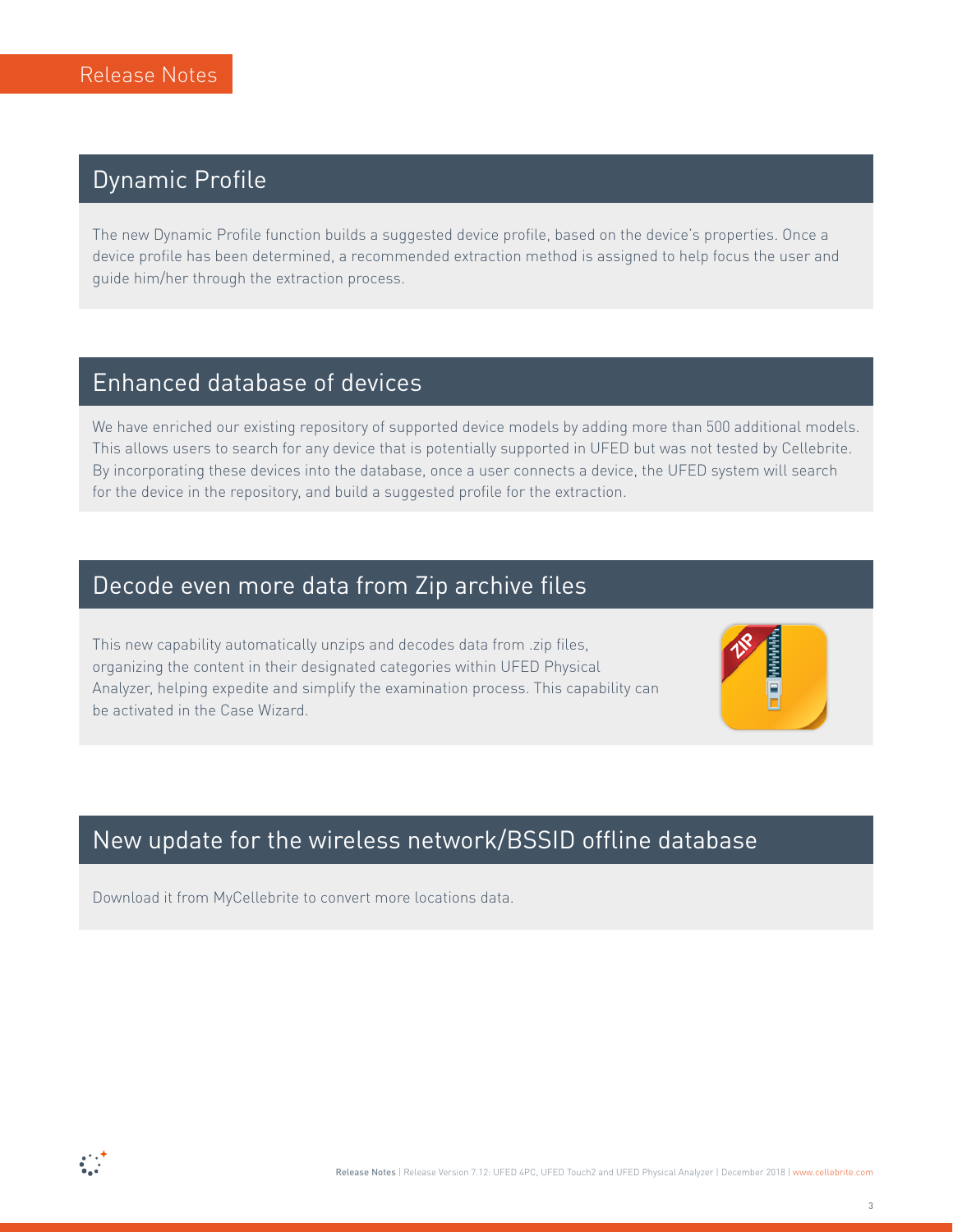## **Dynamic Profile**

The new Dynamic Profile function builds a suggested device profile, based on the device's properties. Once a device profile has been determined, a recommended extraction method is assigned to help focus the user and guide him/her through the extraction process.

#### Enhanced database of devices

We have enriched our existing repository of supported device models by adding more than 500 additional models. This allows users to search for any device that is potentially supported in UFED but was not tested by Cellebrite. By incorporating these devices into the database, once a user connects a device, the UFED system will search for the device in the repository, and build a suggested profile for the extraction.

## Decode even more data from Zip archive files

This new capability automatically unzips and decodes data from .zip files, organizing the content in their designated categories within UFED Physical Analyzer, helping expedite and simplify the examination process. This capability can be activated in the Case Wizard.



## New update for the wireless network/BSSID offline database

Download it from MyCellebrite to convert more locations data.

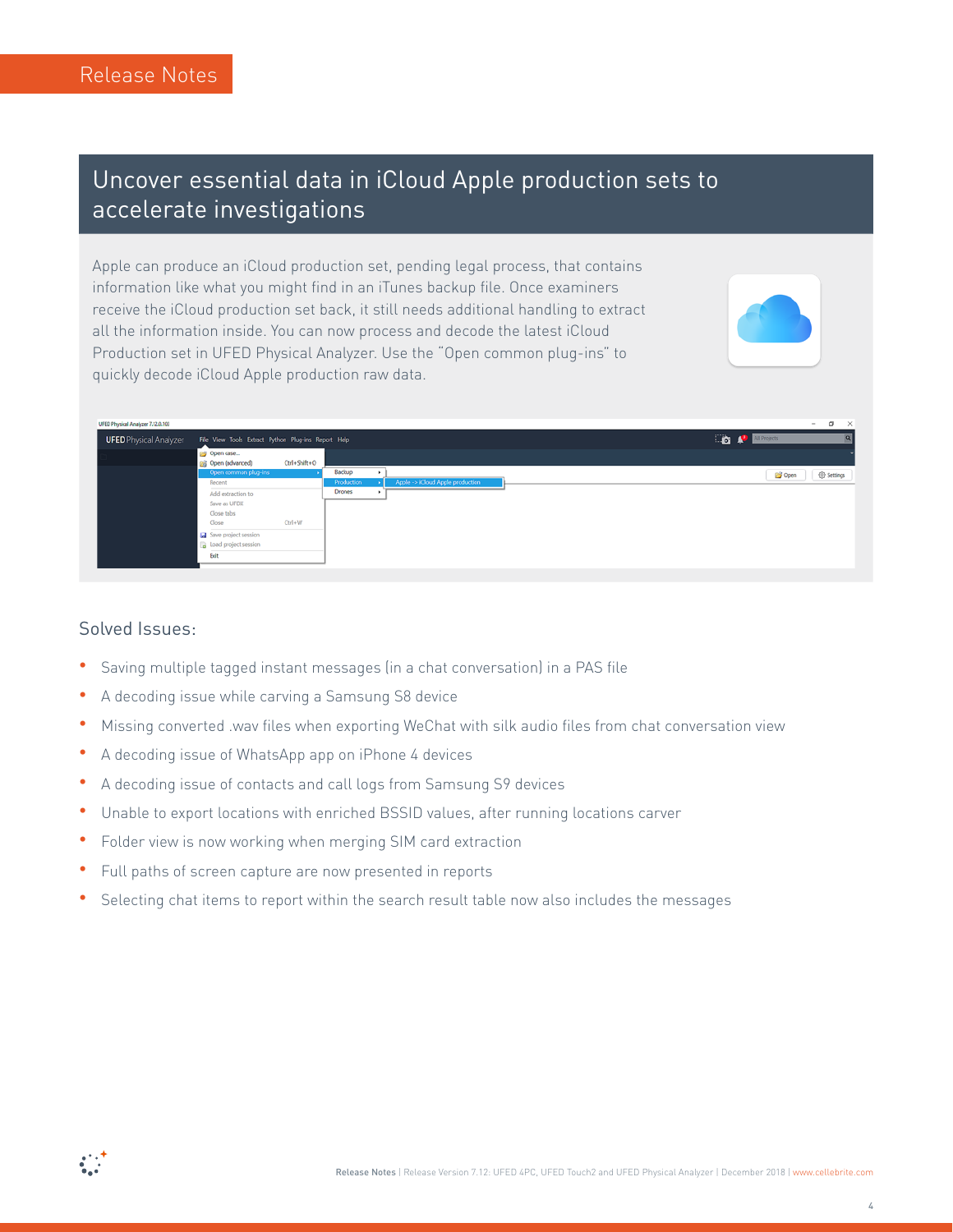## Uncover essential data in iCloud Apple production sets to accelerate investigations

Apple can produce an iCloud production set, pending legal process, that contains information like what you might find in an iTunes backup file. Once examiners receive the iCloud production set back, it still needs additional handling to extract all the information inside. You can now process and decode the latest iCloud Production set in UFED Physical Analyzer. Use the "Open common plug-ins" to quickly decode iCloud Apple production raw data.



| UFED Physical Analyzer 7.12.0.103 |                                                     |              |                   |                                  |  |                          | $\sim$                  |
|-----------------------------------|-----------------------------------------------------|--------------|-------------------|----------------------------------|--|--------------------------|-------------------------|
| <b>UFED</b> Physical Analyzer     | File View Tools Extract Python Plug-ins Report Help |              |                   |                                  |  | <b>Co</b> P All Projects |                         |
|                                   | Open case<br>@g Open (advanced)                     | Ctrl+Shift+O |                   |                                  |  |                          |                         |
|                                   | Open common plug-ins                                |              | Backup            |                                  |  | Copen                    | <sup>(b)</sup> Settings |
|                                   | Recent                                              |              | <b>Production</b> | Apple -> iCloud Apple production |  |                          |                         |
|                                   | Add extraction to                                   |              | Drones            |                                  |  |                          |                         |
|                                   | Save as UFDX                                        |              |                   |                                  |  |                          |                         |
|                                   | Close tabs                                          |              |                   |                                  |  |                          |                         |
|                                   | Close                                               | Ctrl+W       |                   |                                  |  |                          |                         |
|                                   | Save project session                                |              |                   |                                  |  |                          |                         |
|                                   | Load project session                                |              |                   |                                  |  |                          |                         |
|                                   | Exit                                                |              |                   |                                  |  |                          |                         |
|                                   |                                                     |              |                   |                                  |  |                          |                         |

#### Solved Issues:

- **•** Saving multiple tagged instant messages (in a chat conversation) in a PAS file
- A decoding issue while carving a Samsung S8 device
- Missing converted .wav files when exporting WeChat with silk audio files from chat conversation view
- A decoding issue of WhatsApp app on iPhone 4 devices
- A decoding issue of contacts and call logs from Samsung S9 devices
- Unable to export locations with enriched BSSID values, after running locations carver
- **•** Folder view is now working when merging SIM card extraction
- Full paths of screen capture are now presented in reports
- Selecting chat items to report within the search result table now also includes the messages

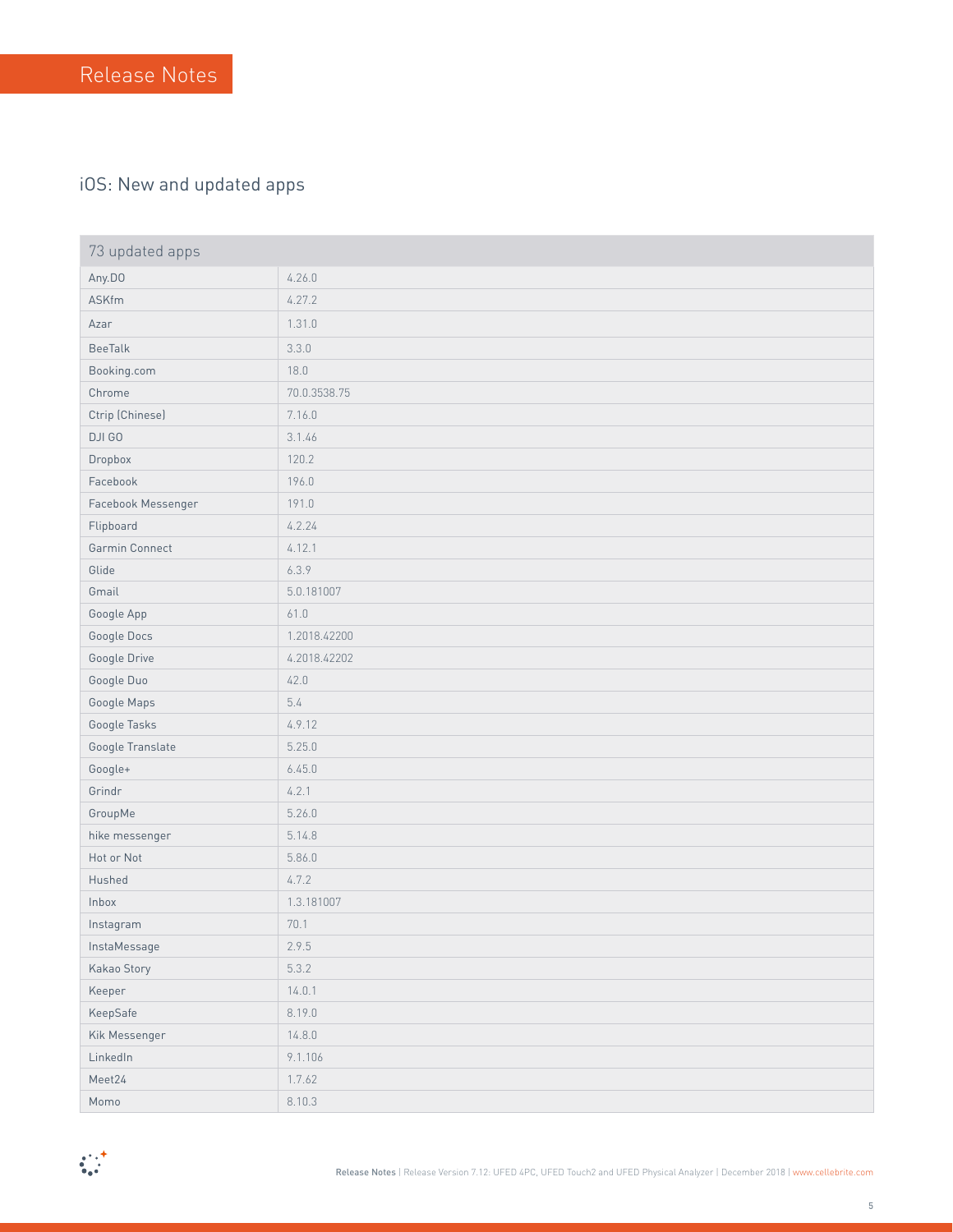#### iOS: New and updated apps

| 73 updated apps    |              |
|--------------------|--------------|
| Any.DO             | 4.26.0       |
| <b>ASKfm</b>       | 4.27.2       |
| Azar               | 1.31.0       |
| <b>BeeTalk</b>     | 3.3.0        |
| Booking.com        | 18.0         |
| Chrome             | 70.0.3538.75 |
| Ctrip (Chinese)    | 7.16.0       |
| DJI GO             | 3.1.46       |
| Dropbox            | 120.2        |
| Facebook           | 196.0        |
| Facebook Messenger | 191.0        |
| Flipboard          | 4.2.24       |
| Garmin Connect     | 4.12.1       |
| Glide              | 6.3.9        |
| Gmail              | 5.0.181007   |
| Google App         | 61.0         |
| Google Docs        | 1.2018.42200 |
| Google Drive       | 4.2018.42202 |
| Google Duo         | 42.0         |
| Google Maps        | 5.4          |
| Google Tasks       | 4.9.12       |
| Google Translate   | 5.25.0       |
| Google+            | 6.45.0       |
| Grindr             | 4.2.1        |
| GroupMe            | 5.26.0       |
| hike messenger     | 5.14.8       |
| Hot or Not         | 5.86.0       |
| Hushed             | 4.7.2        |
| Inbox              | 1.3.181007   |
| Instagram          | 70.1         |
| InstaMessage       | 2.9.5        |
| Kakao Story        | 5.3.2        |
| Keeper             | 14.0.1       |
| KeepSafe           | 8.19.0       |
| Kik Messenger      | 14.8.0       |
| LinkedIn           | 9.1.106      |
| Meet24             | 1.7.62       |
| Momo               | 8.10.3       |

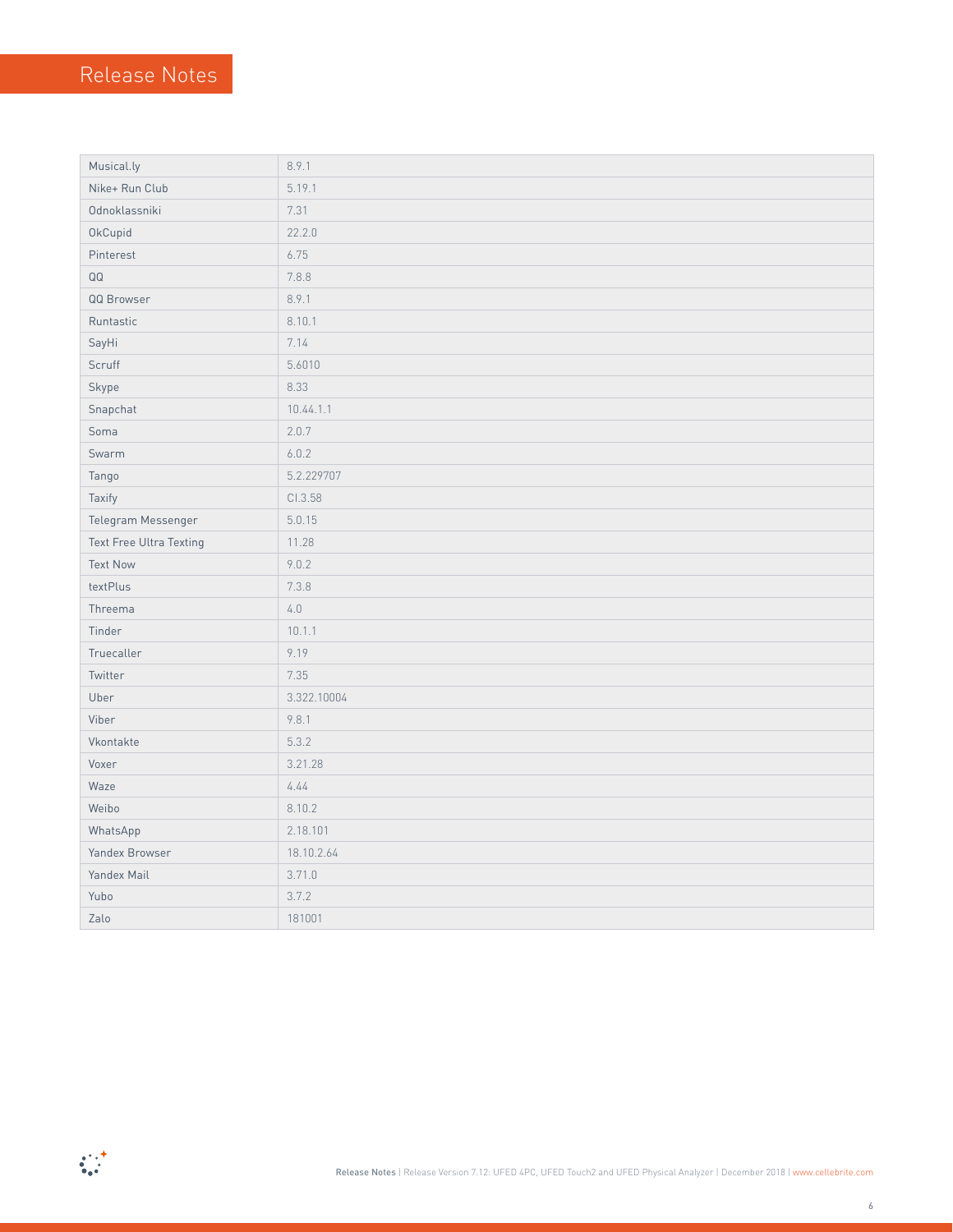| Musical.ly              | 8.9.1       |
|-------------------------|-------------|
| Nike+ Run Club          | 5.19.1      |
| Odnoklassniki           | 7.31        |
| OkCupid                 | 22.2.0      |
| Pinterest               | 6.75        |
| QQ                      | 7.8.8       |
| QQ Browser              | 8.9.1       |
| Runtastic               | 8.10.1      |
| SayHi                   | 7.14        |
| Scruff                  | 5.6010      |
| Skype                   | 8.33        |
| Snapchat                | 10.44.1.1   |
| Soma                    | 2.0.7       |
| Swarm                   | 6.0.2       |
| Tango                   | 5.2.229707  |
| Taxify                  | CI.3.58     |
| Telegram Messenger      | 5.0.15      |
| Text Free Ultra Texting | 11.28       |
| <b>Text Now</b>         | 9.0.2       |
| textPlus                | 7.3.8       |
| Threema                 | $4.0\,$     |
| Tinder                  | 10.1.1      |
| Truecaller              | 9.19        |
| Twitter                 | 7.35        |
| Uber                    | 3.322.10004 |
| Viber                   | 9.8.1       |
| Vkontakte               | 5.3.2       |
| Voxer                   | 3.21.28     |
| Waze                    | 4.44        |
| Weibo                   | 8.10.2      |
| WhatsApp                | 2.18.101    |
| Yandex Browser          | 18.10.2.64  |
| Yandex Mail             | 3.71.0      |
| Yubo                    | 3.7.2       |
| Zalo                    | 181001      |

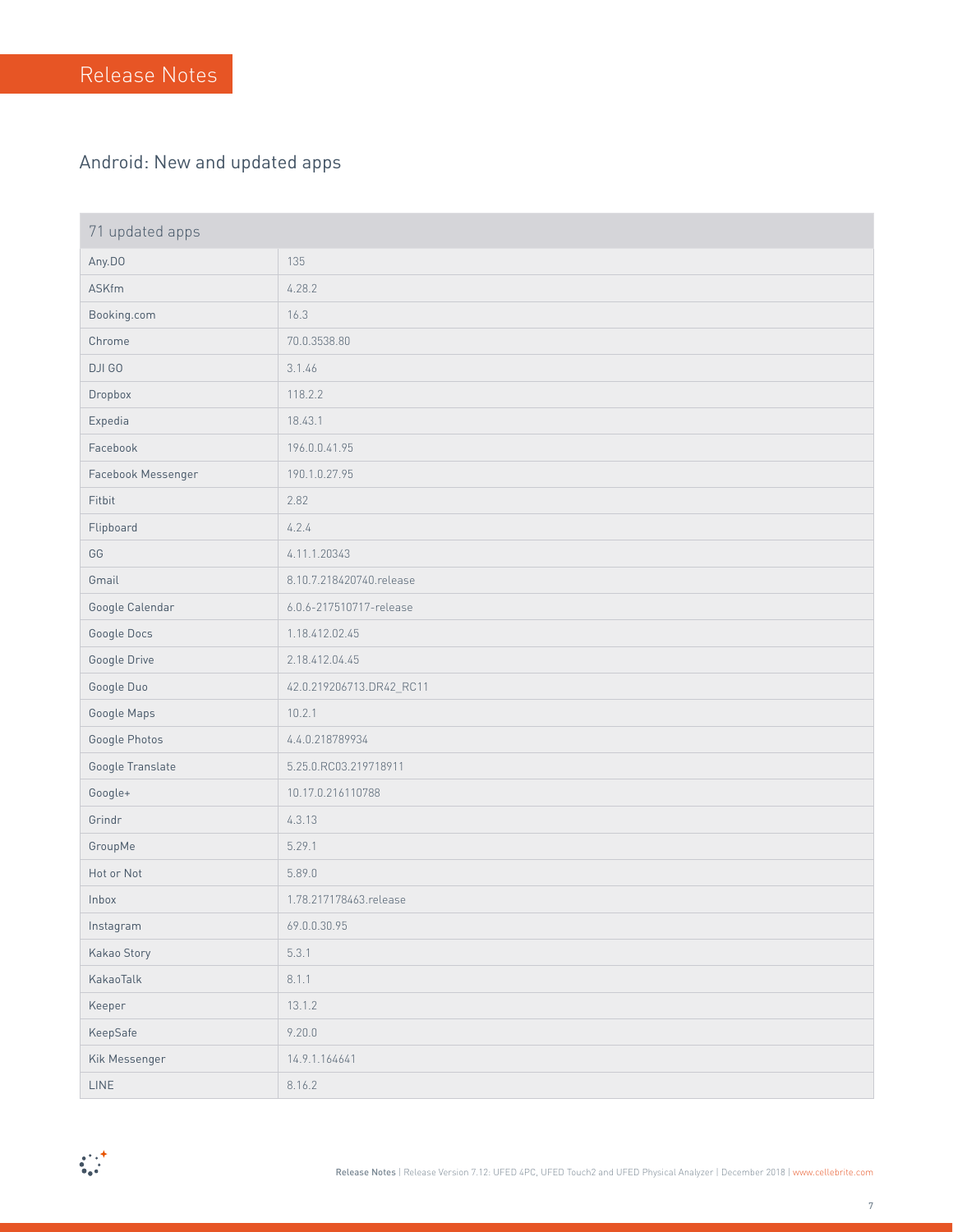#### Android: New and updated apps

| 71 updated apps    |                          |
|--------------------|--------------------------|
| Any.DO             | 135                      |
| ASKfm              | 4.28.2                   |
| Booking.com        | 16.3                     |
| Chrome             | 70.0.3538.80             |
| DJI GO             | 3.1.46                   |
| Dropbox            | 118.2.2                  |
| Expedia            | 18.43.1                  |
| Facebook           | 196.0.0.41.95            |
| Facebook Messenger | 190.1.0.27.95            |
| Fitbit             | 2.82                     |
| Flipboard          | 4.2.4                    |
| GG                 | 4.11.1.20343             |
| Gmail              | 8.10.7.218420740.release |
| Google Calendar    | 6.0.6-217510717-release  |
| Google Docs        | 1.18.412.02.45           |
| Google Drive       | 2.18.412.04.45           |
| Google Duo         | 42.0.219206713.DR42_RC11 |
| Google Maps        | 10.2.1                   |
| Google Photos      | 4.4.0.218789934          |
| Google Translate   | 5.25.0.RC03.219718911    |
| Google+            | 10.17.0.216110788        |
| Grindr             | 4.3.13                   |
| GroupMe            | 5.29.1                   |
| Hot or Not         | 5.89.0                   |
| Inbox              | 1.78.217178463.release   |
| Instagram          | 69.0.0.30.95             |
| Kakao Story        | 5.3.1                    |
| KakaoTalk          | 8.1.1                    |
| Keeper             | 13.1.2                   |
| KeepSafe           | 9.20.0                   |
| Kik Messenger      | 14.9.1.164641            |
| LINE               | 8.16.2                   |

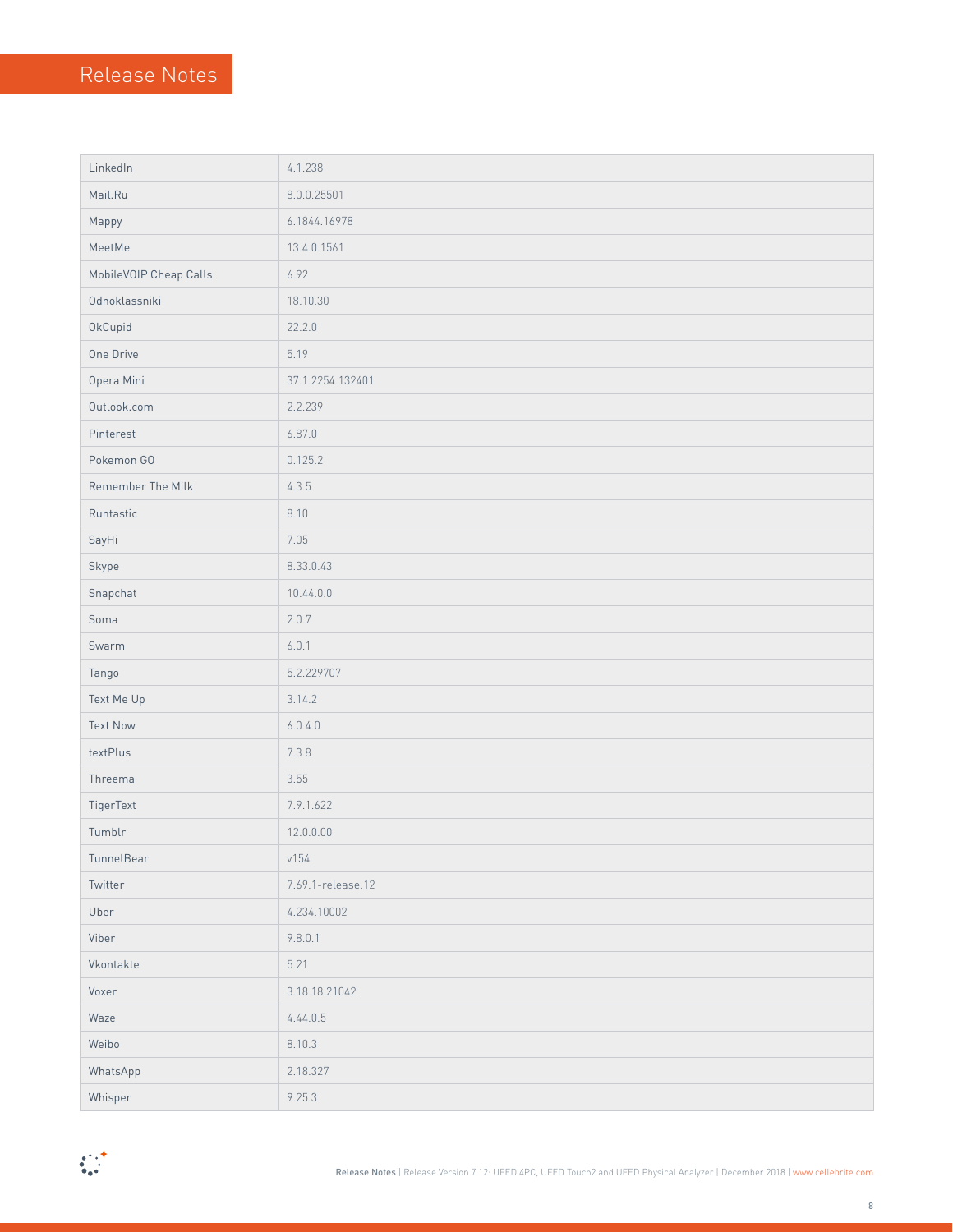| LinkedIn               | 4.1.238           |
|------------------------|-------------------|
| Mail.Ru                | 8.0.0.25501       |
| Mappy                  | 6.1844.16978      |
| MeetMe                 | 13.4.0.1561       |
| MobileVOIP Cheap Calls | 6.92              |
| Odnoklassniki          | 18.10.30          |
| OkCupid                | 22.2.0            |
| One Drive              | 5.19              |
| Opera Mini             | 37.1.2254.132401  |
| Outlook.com            | 2.2.239           |
| Pinterest              | 6.87.0            |
| Pokemon GO             | 0.125.2           |
| Remember The Milk      | 4.3.5             |
| Runtastic              | 8.10              |
| SayHi                  | 7.05              |
| Skype                  | 8.33.0.43         |
| Snapchat               | 10.44.0.0         |
| Soma                   | 2.0.7             |
| Swarm                  | 6.0.1             |
| Tango                  | 5.2.229707        |
| Text Me Up             | 3.14.2            |
| <b>Text Now</b>        | 6.0.4.0           |
| textPlus               | 7.3.8             |
| Threema                | 3.55              |
| TigerText              | 7.9.1.622         |
| Tumblr                 | 12.0.0.00         |
| TunnelBear             | v154              |
| Twitter                | 7.69.1-release.12 |
| Uber                   | 4.234.10002       |
| Viber                  | 9.8.0.1           |
| Vkontakte              | 5.21              |
| Voxer                  | 3.18.18.21042     |
| Waze                   | 4.44.0.5          |
| Weibo                  | 8.10.3            |
| WhatsApp               | 2.18.327          |
| Whisper                | 9.25.3            |

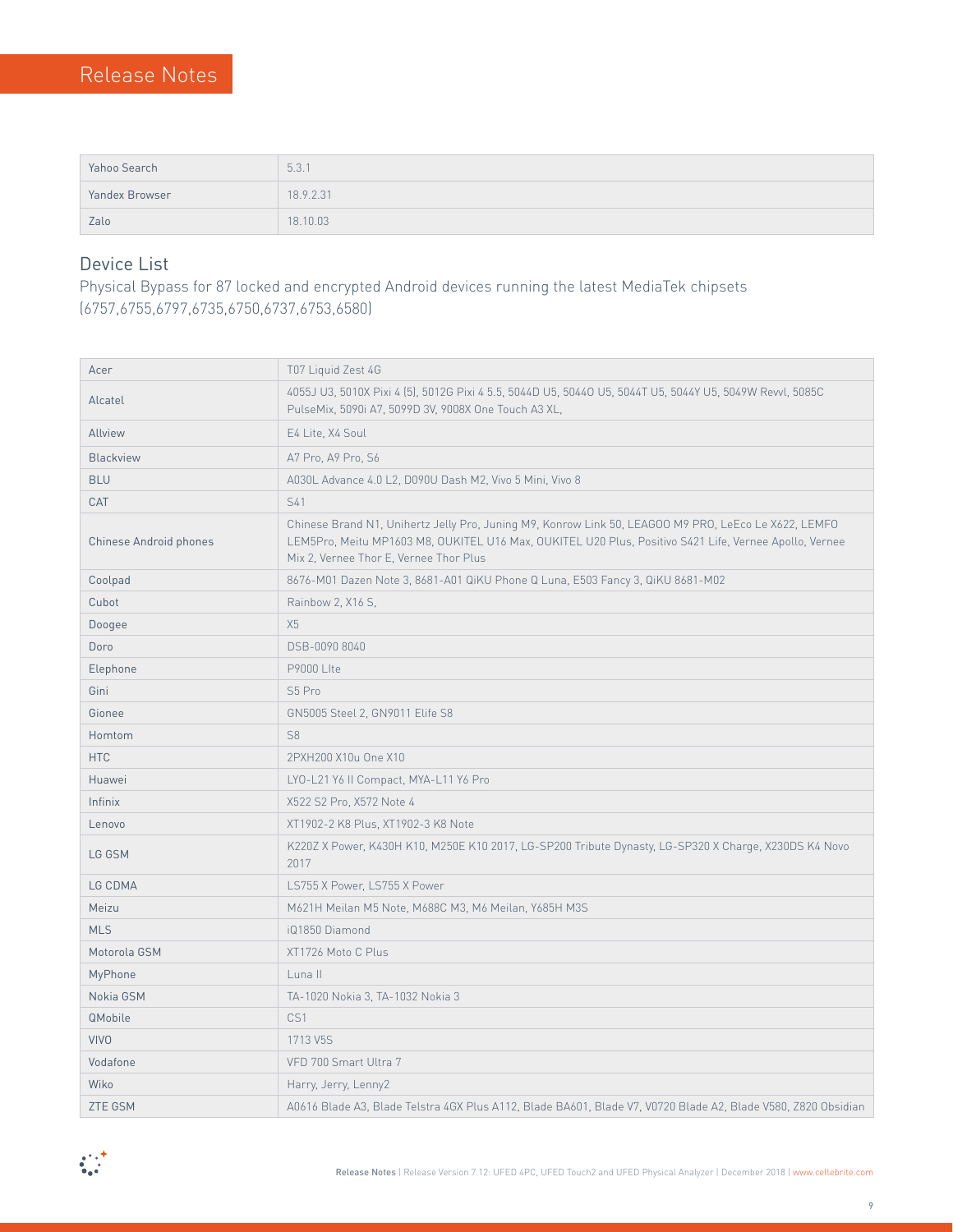| Yahoo Search   | 5.3.1     |
|----------------|-----------|
| Yandex Browser | 18.9.2.31 |
| Zalo           | 18,10.03  |

#### Device List

Physical Bypass for 87 locked and encrypted Android devices running the latest MediaTek chipsets (6757,6755,6797,6735,6750,6737,6753,6580)

| Acer                   | T07 Liquid Zest 4G                                                                                                                                                                                                                                       |
|------------------------|----------------------------------------------------------------------------------------------------------------------------------------------------------------------------------------------------------------------------------------------------------|
| Alcatel                | 4055J U3, 5010X Pixi 4 (5), 5012G Pixi 4 5.5, 5044D U5, 5044O U5, 5044T U5, 5044Y U5, 5049W Revvl, 5085C<br>PulseMix, 5090i A7, 5099D 3V, 9008X One Touch A3 XL,                                                                                         |
| Allview                | E4 Lite, X4 Soul                                                                                                                                                                                                                                         |
| <b>Blackview</b>       | A7 Pro, A9 Pro, S6                                                                                                                                                                                                                                       |
| <b>BLU</b>             | A030L Advance 4.0 L2, D090U Dash M2, Vivo 5 Mini, Vivo 8                                                                                                                                                                                                 |
| CAT                    | S41                                                                                                                                                                                                                                                      |
| Chinese Android phones | Chinese Brand N1, Unihertz Jelly Pro, Juning M9, Konrow Link 50, LEAGOO M9 PRO, LeEco Le X622, LEMFO<br>LEM5Pro, Meitu MP1603 M8, OUKITEL U16 Max, OUKITEL U20 Plus, Positivo S421 Life, Vernee Apollo, Vernee<br>Mix 2, Vernee Thor E, Vernee Thor Plus |
| Coolpad                | 8676-M01 Dazen Note 3, 8681-A01 QiKU Phone Q Luna, E503 Fancy 3, QiKU 8681-M02                                                                                                                                                                           |
| Cubot                  | Rainbow 2, X16 S,                                                                                                                                                                                                                                        |
| Doogee                 | X5                                                                                                                                                                                                                                                       |
| Doro                   | DSB-0090 8040                                                                                                                                                                                                                                            |
| Elephone               | P9000 Llte                                                                                                                                                                                                                                               |
| Gini                   | S5 Pro                                                                                                                                                                                                                                                   |
| Gionee                 | GN5005 Steel 2, GN9011 Elife S8                                                                                                                                                                                                                          |
| Homtom                 | S <sub>8</sub>                                                                                                                                                                                                                                           |
| <b>HTC</b>             | 2PXH200 X10u One X10                                                                                                                                                                                                                                     |
| Huawei                 | LYO-L21 Y6 II Compact, MYA-L11 Y6 Pro                                                                                                                                                                                                                    |
| Infinix                | X522 S2 Pro, X572 Note 4                                                                                                                                                                                                                                 |
| Lenovo                 | XT1902-2 K8 Plus, XT1902-3 K8 Note                                                                                                                                                                                                                       |
| LG GSM                 | K220Z X Power, K430H K10, M250E K10 2017, LG-SP200 Tribute Dynasty, LG-SP320 X Charge, X230DS K4 Novo<br>2017                                                                                                                                            |
| LG CDMA                | LS755 X Power, LS755 X Power                                                                                                                                                                                                                             |
| Meizu                  | M621H Meilan M5 Note, M688C M3, M6 Meilan, Y685H M3S                                                                                                                                                                                                     |
| <b>MLS</b>             | iQ1850 Diamond                                                                                                                                                                                                                                           |
| Motorola GSM           | XT1726 Moto C Plus                                                                                                                                                                                                                                       |
| MyPhone                | Luna II                                                                                                                                                                                                                                                  |
| Nokia GSM              | TA-1020 Nokia 3, TA-1032 Nokia 3                                                                                                                                                                                                                         |
| QMobile                | CS1                                                                                                                                                                                                                                                      |
| <b>VIVO</b>            | 1713 V5S                                                                                                                                                                                                                                                 |
| Vodafone               | VFD 700 Smart Ultra 7                                                                                                                                                                                                                                    |
| Wiko                   | Harry, Jerry, Lenny2                                                                                                                                                                                                                                     |
| ZTE GSM                | A0616 Blade A3, Blade Telstra 4GX Plus A112, Blade BA601, Blade V7, V0720 Blade A2, Blade V580, Z820 Obsidian                                                                                                                                            |

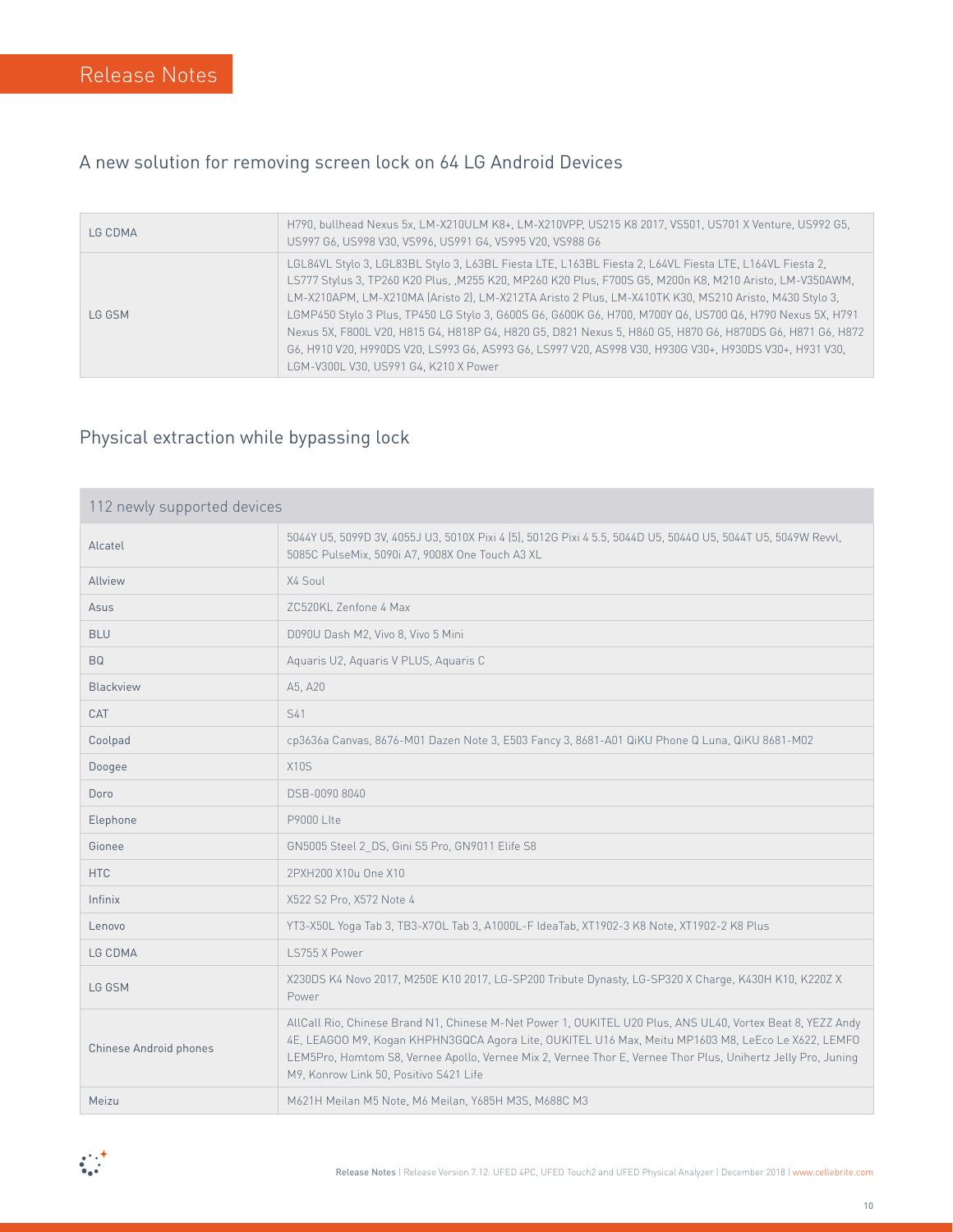#### A new solution for removing screen lock on 64 LG Android Devices

| LG CDMA | H790, bullhead Nexus 5x, LM-X210ULM K8+, LM-X210VPP, US215 K8 2017, VS501, US701 X Venture, US992 G5,<br>US997 G6, US998 V30, VS996, US991 G4, VS995 V20, VS988 G6                                                                                                                                                                                                                                                                                                                                                                                                                                                                                                                                        |
|---------|-----------------------------------------------------------------------------------------------------------------------------------------------------------------------------------------------------------------------------------------------------------------------------------------------------------------------------------------------------------------------------------------------------------------------------------------------------------------------------------------------------------------------------------------------------------------------------------------------------------------------------------------------------------------------------------------------------------|
| LG GSM  | LGL84VL Stylo 3, LGL83BL Stylo 3, L63BL Fiesta LTE, L163BL Fiesta 2, L64VL Fiesta LTE, L164VL Fiesta 2,<br>LS777 Stylus 3, TP260 K20 Plus, , M255 K20, MP260 K20 Plus, F700S G5, M200n K8, M210 Aristo, LM-V350AWM,<br>LM-X210APM, LM-X210MA (Aristo 2), LM-X212TA Aristo 2 Plus, LM-X410TK K30, MS210 Aristo, M430 Stylo 3,<br>LGMP450 Stylo 3 Plus, TP450 LG Stylo 3, G600S G6, G600K G6, H700, M700Y Q6, US700 Q6, H790 Nexus 5X, H791<br>Nexus 5X, F800L V20, H815 G4, H818P G4, H820 G5, D821 Nexus 5, H860 G5, H870 G6, H870DS G6, H871 G6, H872<br>G6, H910 V20, H990DS V20, LS993 G6, AS993 G6, LS997 V20, AS998 V30, H930G V30+. H930DS V30+. H931 V30.<br>LGM-V300L V30. US991 G4. K210 X Power |

#### Physical extraction while bypassing lock

| 112 newly supported devices |                                                                                                                                                                                                                                                                                                                                                                            |
|-----------------------------|----------------------------------------------------------------------------------------------------------------------------------------------------------------------------------------------------------------------------------------------------------------------------------------------------------------------------------------------------------------------------|
| Alcatel                     | 5044Y U5, 5099D 3V, 4055J U3, 5010X Pixi 4 (5), 5012G Pixi 4 5.5, 5044D U5, 5044O U5, 5044T U5, 5049W Revvl,<br>5085C PulseMix, 5090i A7, 9008X One Touch A3 XL                                                                                                                                                                                                            |
| Allview                     | X4 Soul                                                                                                                                                                                                                                                                                                                                                                    |
| Asus                        | ZC520KL Zenfone 4 Max                                                                                                                                                                                                                                                                                                                                                      |
| <b>BLU</b>                  | D090U Dash M2, Vivo 8, Vivo 5 Mini                                                                                                                                                                                                                                                                                                                                         |
| <b>BQ</b>                   | Aquaris U2, Aquaris V PLUS, Aquaris C                                                                                                                                                                                                                                                                                                                                      |
| Blackview                   | A5, A20                                                                                                                                                                                                                                                                                                                                                                    |
| CAT                         | S41                                                                                                                                                                                                                                                                                                                                                                        |
| Coolpad                     | cp3636a Canvas, 8676-M01 Dazen Note 3, E503 Fancy 3, 8681-A01 QiKU Phone Q Luna, QiKU 8681-M02                                                                                                                                                                                                                                                                             |
| Doogee                      | <b>X10S</b>                                                                                                                                                                                                                                                                                                                                                                |
| Doro                        | DSB-0090 8040                                                                                                                                                                                                                                                                                                                                                              |
| Elephone                    | <b>P9000 Lite</b>                                                                                                                                                                                                                                                                                                                                                          |
| Gionee                      | GN5005 Steel 2 DS, Gini S5 Pro, GN9011 Elife S8                                                                                                                                                                                                                                                                                                                            |
| <b>HTC</b>                  | 2PXH200 X10u One X10                                                                                                                                                                                                                                                                                                                                                       |
| Infinix                     | X522 S2 Pro, X572 Note 4                                                                                                                                                                                                                                                                                                                                                   |
| Lenovo                      | YT3-X50L Yoga Tab 3, TB3-X70L Tab 3, A1000L-F IdeaTab, XT1902-3 K8 Note, XT1902-2 K8 Plus                                                                                                                                                                                                                                                                                  |
| LG CDMA                     | LS755 X Power                                                                                                                                                                                                                                                                                                                                                              |
| LG GSM                      | X230DS K4 Novo 2017, M250E K10 2017, LG-SP200 Tribute Dynasty, LG-SP320 X Charge, K430H K10, K220Z X<br>Power                                                                                                                                                                                                                                                              |
| Chinese Android phones      | AllCall Rio, Chinese Brand N1, Chinese M-Net Power 1, OUKITEL U20 Plus, ANS UL40, Vortex Beat 8, YEZZ Andy<br>4E, LEAGOO M9, Kogan KHPHN3GQCA Agora Lite, OUKITEL U16 Max, Meitu MP1603 M8, LeEco Le X622, LEMFO<br>LEM5Pro, Homtom S8, Vernee Apollo, Vernee Mix 2, Vernee Thor E, Vernee Thor Plus, Unihertz Jelly Pro, Juning<br>M9, Konrow Link 50, Positivo S421 Life |
| Meizu                       | M621H Meilan M5 Note, M6 Meilan, Y685H M3S, M688C M3                                                                                                                                                                                                                                                                                                                       |

 $\begin{array}{c} \bullet\\ \bullet\\ \bullet\\ \bullet\end{array}$ 

Release Notes | Release Version 7.12: UFED 4PC, UFED Touch 2 and UFED Physical Analyzer | December 2018 | www.cellebrite.com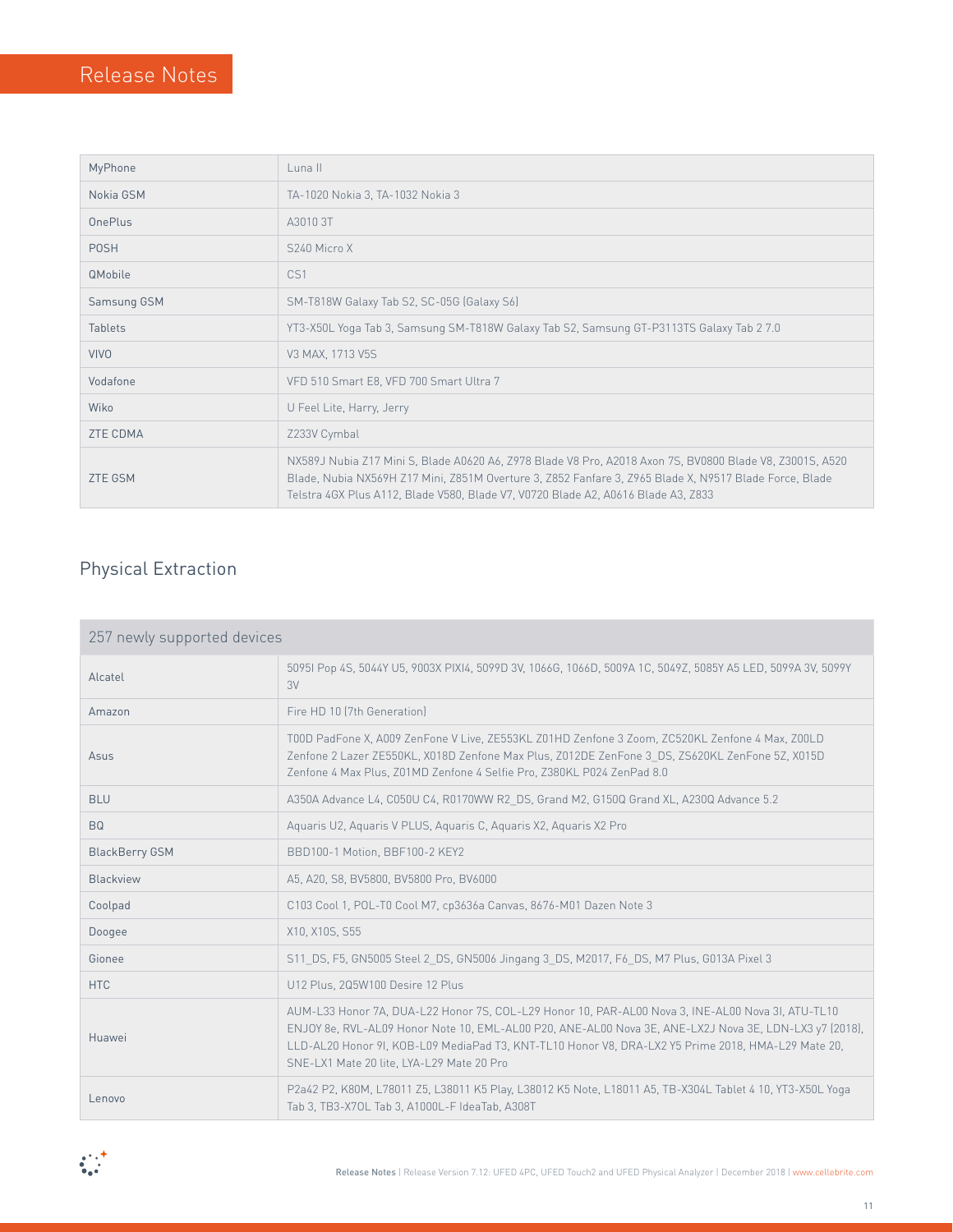| MyPhone         | Luna II                                                                                                                                                                                                                                                                                                 |
|-----------------|---------------------------------------------------------------------------------------------------------------------------------------------------------------------------------------------------------------------------------------------------------------------------------------------------------|
| Nokia GSM       | TA-1020 Nokia 3, TA-1032 Nokia 3                                                                                                                                                                                                                                                                        |
| OnePlus         | A30103T                                                                                                                                                                                                                                                                                                 |
| <b>POSH</b>     | S240 Micro X                                                                                                                                                                                                                                                                                            |
| <b>QMobile</b>  | CS <sub>1</sub>                                                                                                                                                                                                                                                                                         |
| Samsung GSM     | SM-T818W Galaxy Tab S2, SC-05G (Galaxy S6)                                                                                                                                                                                                                                                              |
| <b>Tablets</b>  | YT3-X50L Yoga Tab 3, Samsung SM-T818W Galaxy Tab S2, Samsung GT-P3113TS Galaxy Tab 2 7.0                                                                                                                                                                                                                |
| <b>VIVO</b>     | V3 MAX, 1713 V5S                                                                                                                                                                                                                                                                                        |
| Vodafone        | VFD 510 Smart E8, VFD 700 Smart Ultra 7                                                                                                                                                                                                                                                                 |
| Wiko            | U Feel Lite, Harry, Jerry                                                                                                                                                                                                                                                                               |
| <b>ZTE CDMA</b> | Z233V Cymbal                                                                                                                                                                                                                                                                                            |
| <b>ZTE GSM</b>  | NX589J Nubia Z17 Mini S, Blade A0620 A6, Z978 Blade V8 Pro, A2018 Axon 7S, BV0800 Blade V8, Z3001S, A520<br>Blade, Nubia NX569H Z17 Mini, Z851M Overture 3, Z852 Fanfare 3, Z965 Blade X, N9517 Blade Force, Blade<br>Telstra 4GX Plus A112, Blade V580, Blade V7, V0720 Blade A2, A0616 Blade A3, Z833 |

## Physical Extraction

| 257 newly supported devices |                                                                                                                                                                                                                                                                                                                                                                |  |
|-----------------------------|----------------------------------------------------------------------------------------------------------------------------------------------------------------------------------------------------------------------------------------------------------------------------------------------------------------------------------------------------------------|--|
| Alcatel                     | 50951 Pop 4S, 5044Y U5, 9003X PIXI4, 5099D 3V, 1066G, 1066D, 5009A 1C, 5049Z, 5085Y A5 LED, 5099A 3V, 5099Y<br>3V                                                                                                                                                                                                                                              |  |
| Amazon                      | Fire HD 10 (7th Generation)                                                                                                                                                                                                                                                                                                                                    |  |
| Asus                        | T00D PadFone X, A009 ZenFone V Live, ZE553KL Z01HD Zenfone 3 Zoom, ZC520KL Zenfone 4 Max, Z00LD<br>Zenfone 2 Lazer ZE550KL, X018D Zenfone Max Plus, Z012DE ZenFone 3 DS, ZS620KL ZenFone 5Z, X015D<br>Zenfone 4 Max Plus, Z01MD Zenfone 4 Selfie Pro, Z380KL P024 ZenPad 8.0                                                                                   |  |
| <b>BLU</b>                  | A350A Advance L4, C050U C4, R0170WW R2 DS, Grand M2, G150Q Grand XL, A230Q Advance 5.2                                                                                                                                                                                                                                                                         |  |
| <b>BQ</b>                   | Aquaris U2, Aquaris V PLUS, Aquaris C, Aquaris X2, Aquaris X2 Pro                                                                                                                                                                                                                                                                                              |  |
| <b>BlackBerry GSM</b>       | BBD100-1 Motion, BBF100-2 KEY2                                                                                                                                                                                                                                                                                                                                 |  |
| Blackview                   | A5, A20, S8, BV5800, BV5800 Pro, BV6000                                                                                                                                                                                                                                                                                                                        |  |
| Coolpad                     | C103 Cool 1, POL-T0 Cool M7, cp3636a Canvas, 8676-M01 Dazen Note 3                                                                                                                                                                                                                                                                                             |  |
| Doogee                      | X10, X10S, S55                                                                                                                                                                                                                                                                                                                                                 |  |
| Gionee                      | S11 DS, F5, GN5005 Steel 2 DS, GN5006 Jingang 3 DS, M2017, F6 DS, M7 Plus, G013A Pixel 3                                                                                                                                                                                                                                                                       |  |
| <b>HTC</b>                  | U12 Plus, 2Q5W100 Desire 12 Plus                                                                                                                                                                                                                                                                                                                               |  |
| Huawei                      | AUM-L33 Honor 7A, DUA-L22 Honor 7S, COL-L29 Honor 10, PAR-AL00 Nova 3, INE-AL00 Nova 3I, ATU-TL10<br>ENJOY 8e, RVL-AL09 Honor Note 10, EML-AL00 P20, ANE-AL00 Nova 3E, ANE-LX2J Nova 3E, LDN-LX3 y7 (2018).<br>LLD-AL20 Honor 9I, KOB-L09 MediaPad T3, KNT-TL10 Honor V8, DRA-LX2 Y5 Prime 2018, HMA-L29 Mate 20,<br>SNE-LX1 Mate 20 lite, LYA-L29 Mate 20 Pro |  |
| Lenovo                      | P2a42 P2, K80M, L78011 Z5, L38011 K5 Play, L38012 K5 Note, L18011 A5, TB-X304L Tablet 4 10, YT3-X50L Yoga<br>Tab 3, TB3-X70L Tab 3, A1000L-F IdeaTab, A308T                                                                                                                                                                                                    |  |

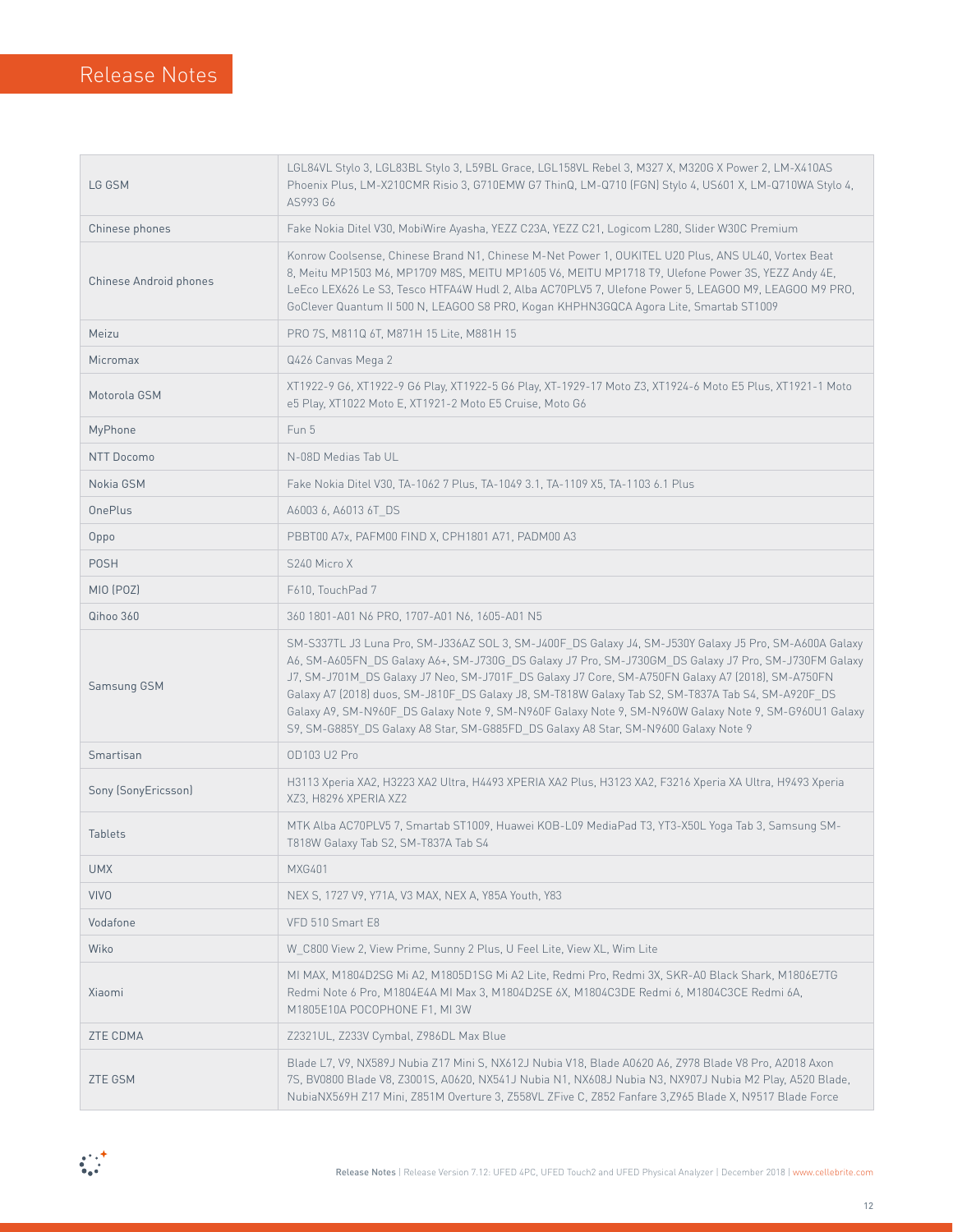| LG GSM                 | LGL84VL Stylo 3, LGL83BL Stylo 3, L59BL Grace, LGL158VL Rebel 3, M327 X, M320G X Power 2, LM-X410AS<br>Phoenix Plus, LM-X210CMR Risio 3, G710EMW G7 ThinQ, LM-Q710 (FGN) Stylo 4, US601 X, LM-Q710WA Stylo 4,<br>AS993 G6                                                                                                                                                                                                                                                                                                                                                                                                 |  |  |
|------------------------|---------------------------------------------------------------------------------------------------------------------------------------------------------------------------------------------------------------------------------------------------------------------------------------------------------------------------------------------------------------------------------------------------------------------------------------------------------------------------------------------------------------------------------------------------------------------------------------------------------------------------|--|--|
| Chinese phones         | Fake Nokia Ditel V30, MobiWire Ayasha, YEZZ C23A, YEZZ C21, Logicom L280, Slider W30C Premium                                                                                                                                                                                                                                                                                                                                                                                                                                                                                                                             |  |  |
| Chinese Android phones | Konrow Coolsense, Chinese Brand N1, Chinese M-Net Power 1, OUKITEL U20 Plus, ANS UL40, Vortex Beat<br>8, Meitu MP1503 M6, MP1709 M8S, MEITU MP1605 V6, MEITU MP1718 T9, Ulefone Power 3S, YEZZ Andy 4E,<br>LeEco LEX626 Le S3, Tesco HTFA4W Hudl 2, Alba AC70PLV5 7, Ulefone Power 5, LEAGOO M9, LEAGOO M9 PRO,<br>GoClever Quantum II 500 N, LEAGOO S8 PRO, Kogan KHPHN3GQCA Agora Lite, Smartab ST1009                                                                                                                                                                                                                  |  |  |
| Meizu                  | PRO 7S, M811Q 6T, M871H 15 Lite, M881H 15                                                                                                                                                                                                                                                                                                                                                                                                                                                                                                                                                                                 |  |  |
| Micromax               | Q426 Canvas Mega 2                                                                                                                                                                                                                                                                                                                                                                                                                                                                                                                                                                                                        |  |  |
| Motorola GSM           | XT1922-9 G6, XT1922-9 G6 Play, XT1922-5 G6 Play, XT-1929-17 Moto Z3, XT1924-6 Moto E5 Plus, XT1921-1 Moto<br>e5 Play, XT1022 Moto E, XT1921-2 Moto E5 Cruise, Moto G6                                                                                                                                                                                                                                                                                                                                                                                                                                                     |  |  |
| MyPhone                | Fun 5                                                                                                                                                                                                                                                                                                                                                                                                                                                                                                                                                                                                                     |  |  |
| <b>NTT Docomo</b>      | N-08D Medias Tab UL                                                                                                                                                                                                                                                                                                                                                                                                                                                                                                                                                                                                       |  |  |
| Nokia GSM              | Fake Nokia Ditel V30, TA-1062 7 Plus, TA-1049 3.1, TA-1109 X5, TA-1103 6.1 Plus                                                                                                                                                                                                                                                                                                                                                                                                                                                                                                                                           |  |  |
| <b>OnePlus</b>         | A6003 6, A6013 6T DS                                                                                                                                                                                                                                                                                                                                                                                                                                                                                                                                                                                                      |  |  |
| Oppo                   | PBBT00 A7x, PAFM00 FIND X, CPH1801 A71, PADM00 A3                                                                                                                                                                                                                                                                                                                                                                                                                                                                                                                                                                         |  |  |
| <b>POSH</b>            | S240 Micro X                                                                                                                                                                                                                                                                                                                                                                                                                                                                                                                                                                                                              |  |  |
| MIO (POZ)              | F610, TouchPad 7                                                                                                                                                                                                                                                                                                                                                                                                                                                                                                                                                                                                          |  |  |
| Qihoo 360              | 360 1801-A01 N6 PRO, 1707-A01 N6, 1605-A01 N5                                                                                                                                                                                                                                                                                                                                                                                                                                                                                                                                                                             |  |  |
| Samsung GSM            | SM-S337TL J3 Luna Pro, SM-J336AZ SOL 3, SM-J400F_DS Galaxy J4, SM-J530Y Galaxy J5 Pro, SM-A600A Galaxy<br>A6, SM-A605FN_DS Galaxy A6+, SM-J730G_DS Galaxy J7 Pro, SM-J730GM_DS Galaxy J7 Pro, SM-J730FM Galaxy<br>J7, SM-J701M DS Galaxy J7 Neo, SM-J701F DS Galaxy J7 Core, SM-A750FN Galaxy A7 (2018), SM-A750FN<br>Galaxy A7 (2018) duos, SM-J810F_DS Galaxy J8, SM-T818W Galaxy Tab S2, SM-T837A Tab S4, SM-A920F_DS<br>Galaxy A9, SM-N960F_DS Galaxy Note 9, SM-N960F Galaxy Note 9, SM-N960W Galaxy Note 9, SM-G960U1 Galaxy<br>S9, SM-G885Y_DS Galaxy A8 Star, SM-G885FD_DS Galaxy A8 Star, SM-N9600 Galaxy Note 9 |  |  |
| Smartisan              | <b>OD103 U2 Pro</b>                                                                                                                                                                                                                                                                                                                                                                                                                                                                                                                                                                                                       |  |  |
| Sony (SonyEricsson)    | H3113 Xperia XA2, H3223 XA2 Ultra, H4493 XPERIA XA2 Plus, H3123 XA2, F3216 Xperia XA Ultra, H9493 Xperia<br>XZ3. H8296 XPERIA XZ2                                                                                                                                                                                                                                                                                                                                                                                                                                                                                         |  |  |
| Tablets                | MTK Alba AC70PLV5 7, Smartab ST1009, Huawei KOB-L09 MediaPad T3, YT3-X50L Yoga Tab 3, Samsung SM-<br>T818W Galaxy Tab S2, SM-T837A Tab S4                                                                                                                                                                                                                                                                                                                                                                                                                                                                                 |  |  |
| <b>UMX</b>             | <b>MXG401</b>                                                                                                                                                                                                                                                                                                                                                                                                                                                                                                                                                                                                             |  |  |
| <b>VIVO</b>            | NEX S, 1727 V9, Y71A, V3 MAX, NEX A, Y85A Youth, Y83                                                                                                                                                                                                                                                                                                                                                                                                                                                                                                                                                                      |  |  |
| Vodafone               | VFD 510 Smart E8                                                                                                                                                                                                                                                                                                                                                                                                                                                                                                                                                                                                          |  |  |
| Wiko                   | W C800 View 2, View Prime, Sunny 2 Plus, U Feel Lite, View XL, Wim Lite                                                                                                                                                                                                                                                                                                                                                                                                                                                                                                                                                   |  |  |
| Xiaomi                 | MI MAX, M1804D2SG Mi A2, M1805D1SG Mi A2 Lite, Redmi Pro, Redmi 3X, SKR-A0 Black Shark, M1806E7TG<br>Redmi Note 6 Pro, M1804E4A MI Max 3, M1804D2SE 6X, M1804C3DE Redmi 6, M1804C3CE Redmi 6A,<br>M1805E10A POCOPHONE F1, MI 3W                                                                                                                                                                                                                                                                                                                                                                                           |  |  |
| ZTE CDMA               | Z2321UL, Z233V Cymbal, Z986DL Max Blue                                                                                                                                                                                                                                                                                                                                                                                                                                                                                                                                                                                    |  |  |
| <b>ZTE GSM</b>         | Blade L7, V9, NX589J Nubia Z17 Mini S, NX612J Nubia V18, Blade A0620 A6, Z978 Blade V8 Pro, A2018 Axon<br>7S, BV0800 Blade V8, Z3001S, A0620, NX541J Nubia N1, NX608J Nubia N3, NX907J Nubia M2 Play, A520 Blade,<br>NubiaNX569H Z17 Mini, Z851M Overture 3, Z558VL ZFive C, Z852 Fanfare 3,Z965 Blade X, N9517 Blade Force                                                                                                                                                                                                                                                                                               |  |  |

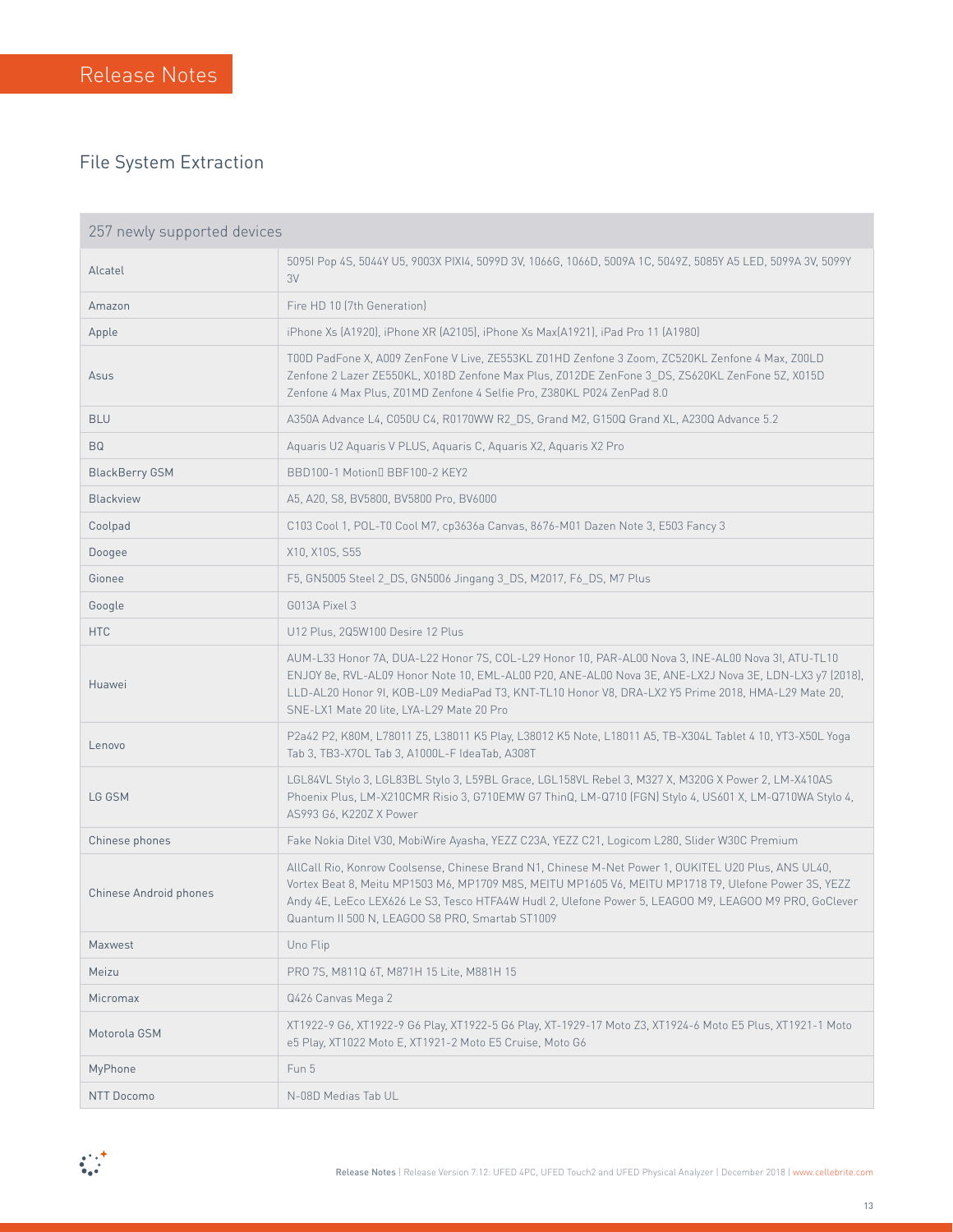٠

#### File System Extraction

| 257 newly supported devices |                                                                                                                                                                                                                                                                                                                                                                         |  |
|-----------------------------|-------------------------------------------------------------------------------------------------------------------------------------------------------------------------------------------------------------------------------------------------------------------------------------------------------------------------------------------------------------------------|--|
| Alcatel                     | 5095I Pop 4S, 5044Y U5, 9003X PIXI4, 5099D 3V, 1066G, 1066D, 5009A 1C, 5049Z, 5085Y A5 LED, 5099A 3V, 5099Y<br>3V                                                                                                                                                                                                                                                       |  |
| Amazon                      | Fire HD 10 (7th Generation)                                                                                                                                                                                                                                                                                                                                             |  |
| Apple                       | iPhone Xs (A1920), iPhone XR (A2105), iPhone Xs Max(A1921), iPad Pro 11 (A1980)                                                                                                                                                                                                                                                                                         |  |
| Asus                        | T00D PadFone X, A009 ZenFone V Live, ZE553KL Z01HD Zenfone 3 Zoom, ZC520KL Zenfone 4 Max, Z00LD<br>Zenfone 2 Lazer ZE550KL, X018D Zenfone Max Plus, Z012DE ZenFone 3 DS, ZS620KL ZenFone 5Z, X015D<br>Zenfone 4 Max Plus, Z01MD Zenfone 4 Selfie Pro, Z380KL P024 ZenPad 8.0                                                                                            |  |
| <b>BLU</b>                  | A350A Advance L4, C050U C4, R0170WW R2 DS, Grand M2, G150Q Grand XL, A230Q Advance 5.2                                                                                                                                                                                                                                                                                  |  |
| <b>BQ</b>                   | Aquaris U2 Aquaris V PLUS, Aquaris C, Aquaris X2, Aquaris X2 Pro                                                                                                                                                                                                                                                                                                        |  |
| <b>BlackBerry GSM</b>       | BBD100-1 Motion BBF100-2 KEY2                                                                                                                                                                                                                                                                                                                                           |  |
| <b>Blackview</b>            | A5, A20, S8, BV5800, BV5800 Pro, BV6000                                                                                                                                                                                                                                                                                                                                 |  |
| Coolpad                     | C103 Cool 1, POL-T0 Cool M7, cp3636a Canvas, 8676-M01 Dazen Note 3, E503 Fancy 3                                                                                                                                                                                                                                                                                        |  |
| Doogee                      | X10, X10S, S55                                                                                                                                                                                                                                                                                                                                                          |  |
| Gionee                      | F5, GN5005 Steel 2 DS, GN5006 Jingang 3 DS, M2017, F6 DS, M7 Plus                                                                                                                                                                                                                                                                                                       |  |
| Google                      | G013A Pixel 3                                                                                                                                                                                                                                                                                                                                                           |  |
| <b>HTC</b>                  | U12 Plus, 2Q5W100 Desire 12 Plus                                                                                                                                                                                                                                                                                                                                        |  |
| Huawei                      | AUM-L33 Honor 7A, DUA-L22 Honor 7S, COL-L29 Honor 10, PAR-AL00 Nova 3, INE-AL00 Nova 3I, ATU-TL10<br>ENJOY 8e, RVL-AL09 Honor Note 10, EML-AL00 P20, ANE-AL00 Nova 3E, ANE-LX2J Nova 3E, LDN-LX3 y7 (2018),<br>LLD-AL20 Honor 9I, KOB-L09 MediaPad T3, KNT-TL10 Honor V8, DRA-LX2 Y5 Prime 2018, HMA-L29 Mate 20,<br>SNE-LX1 Mate 20 lite, LYA-L29 Mate 20 Pro          |  |
| Lenovo                      | P2a42 P2, K80M, L78011 Z5, L38011 K5 Play, L38012 K5 Note, L18011 A5, TB-X304L Tablet 4 10, YT3-X50L Yoga<br>Tab 3, TB3-X70L Tab 3, A1000L-F IdeaTab, A308T                                                                                                                                                                                                             |  |
| LG GSM                      | LGL84VL Stylo 3, LGL83BL Stylo 3, L59BL Grace, LGL158VL Rebel 3, M327 X, M320G X Power 2, LM-X410AS<br>Phoenix Plus, LM-X210CMR Risio 3, G710EMW G7 ThinQ, LM-Q710 (FGN) Stylo 4, US601 X, LM-Q710WA Stylo 4,<br>AS993 G6, K220Z X Power                                                                                                                                |  |
| Chinese phones              | Fake Nokia Ditel V30, MobiWire Ayasha, YEZZ C23A, YEZZ C21, Logicom L280, Slider W30C Premium                                                                                                                                                                                                                                                                           |  |
| Chinese Android phones      | AllCall Rio, Konrow Coolsense, Chinese Brand N1, Chinese M-Net Power 1, OUKITEL U20 Plus, ANS UL40,<br>Vortex Beat 8, Meitu MP1503 M6, MP1709 M8S, MEITU MP1605 V6, MEITU MP1718 T9, Ulefone Power 3S, YEZZ<br>Andy 4E, LeEco LEX626 Le S3, Tesco HTFA4W Hudl 2, Ulefone Power 5, LEAGOO M9, LEAGOO M9 PRO, GoClever<br>Quantum II 500 N, LEAGOO S8 PRO, Smartab ST1009 |  |
| Maxwest                     | Uno Flip                                                                                                                                                                                                                                                                                                                                                                |  |
| Meizu                       | PRO 7S, M811Q 6T, M871H 15 Lite, M881H 15                                                                                                                                                                                                                                                                                                                               |  |
| Micromax                    | Q426 Canvas Mega 2                                                                                                                                                                                                                                                                                                                                                      |  |
| Motorola GSM                | XT1922-9 G6, XT1922-9 G6 Play, XT1922-5 G6 Play, XT-1929-17 Moto Z3, XT1924-6 Moto E5 Plus, XT1921-1 Moto<br>e5 Play, XT1022 Moto E, XT1921-2 Moto E5 Cruise, Moto G6                                                                                                                                                                                                   |  |
| MyPhone                     | Fun 5                                                                                                                                                                                                                                                                                                                                                                   |  |
| NTT Docomo                  | N-08D Medias Tab UL                                                                                                                                                                                                                                                                                                                                                     |  |

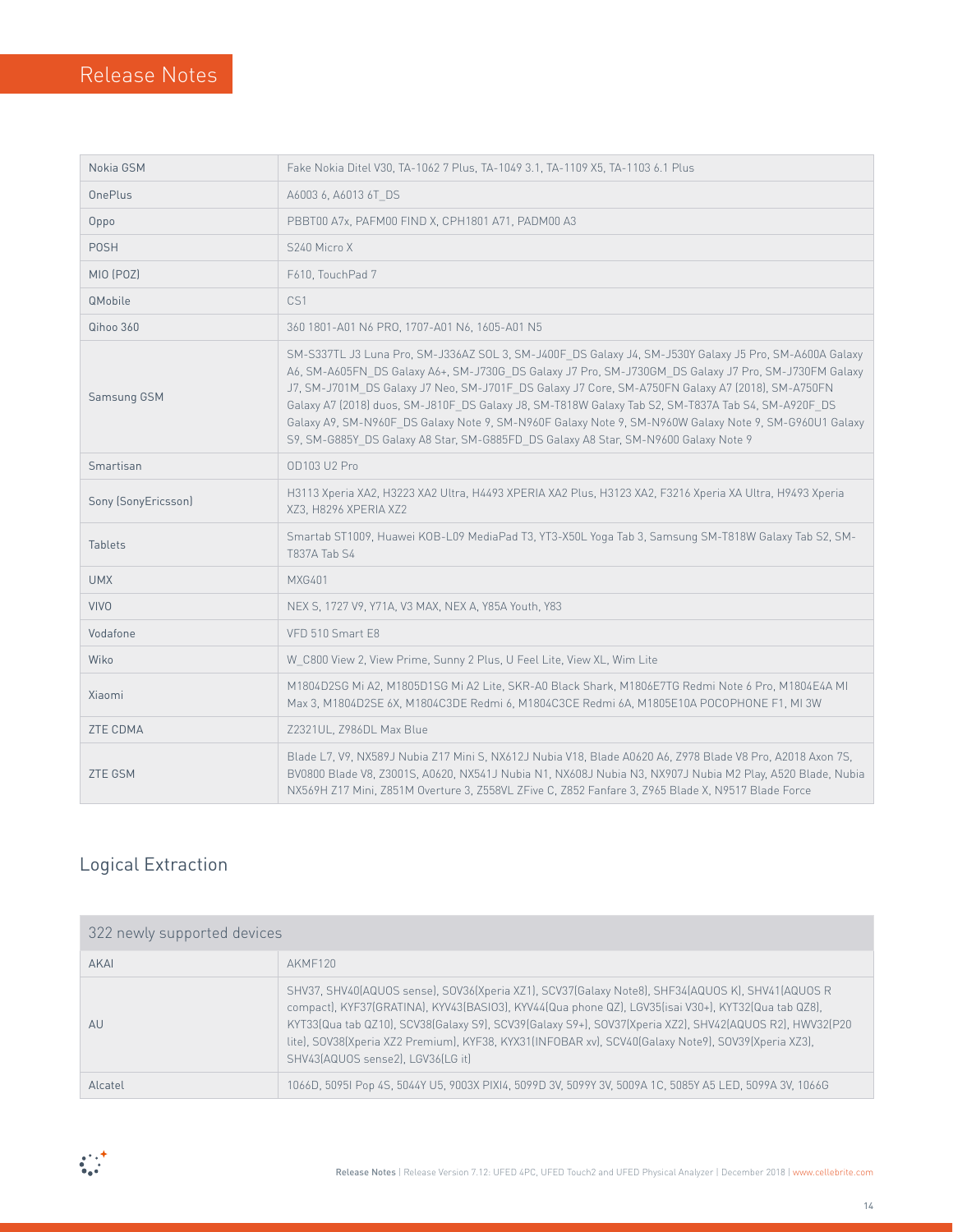| Nokia GSM           | Fake Nokia Ditel V30, TA-1062 7 Plus, TA-1049 3.1, TA-1109 X5, TA-1103 6.1 Plus                                                                                                                                                                                                                                                                                                                                                                                                                                                                                                                                           |  |
|---------------------|---------------------------------------------------------------------------------------------------------------------------------------------------------------------------------------------------------------------------------------------------------------------------------------------------------------------------------------------------------------------------------------------------------------------------------------------------------------------------------------------------------------------------------------------------------------------------------------------------------------------------|--|
| <b>OnePlus</b>      | A6003 6, A6013 6T DS                                                                                                                                                                                                                                                                                                                                                                                                                                                                                                                                                                                                      |  |
| Oppo                | PBBT00 A7x, PAFM00 FIND X, CPH1801 A71, PADM00 A3                                                                                                                                                                                                                                                                                                                                                                                                                                                                                                                                                                         |  |
| <b>POSH</b>         | S240 Micro X                                                                                                                                                                                                                                                                                                                                                                                                                                                                                                                                                                                                              |  |
| MIO (POZ)           | F610, TouchPad 7                                                                                                                                                                                                                                                                                                                                                                                                                                                                                                                                                                                                          |  |
| QMobile             | CS1                                                                                                                                                                                                                                                                                                                                                                                                                                                                                                                                                                                                                       |  |
| Qihoo 360           | 360 1801-A01 N6 PRO, 1707-A01 N6, 1605-A01 N5                                                                                                                                                                                                                                                                                                                                                                                                                                                                                                                                                                             |  |
| Samsung GSM         | SM-S337TL J3 Luna Pro, SM-J336AZ SOL 3, SM-J400F DS Galaxy J4, SM-J530Y Galaxy J5 Pro, SM-A600A Galaxy<br>A6, SM-A605FN_DS Galaxy A6+, SM-J730G_DS Galaxy J7 Pro, SM-J730GM_DS Galaxy J7 Pro, SM-J730FM Galaxy<br>J7, SM-J701M_DS Galaxy J7 Neo, SM-J701F_DS Galaxy J7 Core, SM-A750FN Galaxy A7 (2018), SM-A750FN<br>Galaxy A7 (2018) duos, SM-J810F_DS Galaxy J8, SM-T818W Galaxy Tab S2, SM-T837A Tab S4, SM-A920F_DS<br>Galaxy A9, SM-N960F_DS Galaxy Note 9, SM-N960F Galaxy Note 9, SM-N960W Galaxy Note 9, SM-G960U1 Galaxy<br>S9, SM-G885Y_DS Galaxy A8 Star, SM-G885FD_DS Galaxy A8 Star, SM-N9600 Galaxy Note 9 |  |
| Smartisan           | <b>OD103 U2 Pro</b>                                                                                                                                                                                                                                                                                                                                                                                                                                                                                                                                                                                                       |  |
| Sony (SonyEricsson) | H3113 Xperia XA2, H3223 XA2 Ultra, H4493 XPERIA XA2 Plus, H3123 XA2, F3216 Xperia XA Ultra, H9493 Xperia<br>XZ3, H8296 XPERIA XZ2                                                                                                                                                                                                                                                                                                                                                                                                                                                                                         |  |
| <b>Tablets</b>      | Smartab ST1009, Huawei KOB-L09 MediaPad T3, YT3-X50L Yoga Tab 3, Samsung SM-T818W Galaxy Tab S2, SM-<br>T837A Tab S4                                                                                                                                                                                                                                                                                                                                                                                                                                                                                                      |  |
| <b>UMX</b>          | <b>MXG401</b>                                                                                                                                                                                                                                                                                                                                                                                                                                                                                                                                                                                                             |  |
| <b>VIVO</b>         | NEX S, 1727 V9, Y71A, V3 MAX, NEX A, Y85A Youth, Y83                                                                                                                                                                                                                                                                                                                                                                                                                                                                                                                                                                      |  |
| Vodafone            | VFD 510 Smart E8                                                                                                                                                                                                                                                                                                                                                                                                                                                                                                                                                                                                          |  |
| Wiko                | W C800 View 2, View Prime, Sunny 2 Plus, U Feel Lite, View XL, Wim Lite                                                                                                                                                                                                                                                                                                                                                                                                                                                                                                                                                   |  |
| Xiaomi              | M1804D2SG Mi A2, M1805D1SG Mi A2 Lite, SKR-A0 Black Shark, M1806E7TG Redmi Note 6 Pro, M1804E4A MI<br>Max 3, M1804D2SE 6X, M1804C3DE Redmi 6, M1804C3CE Redmi 6A, M1805E10A POCOPHONE F1, MI 3W                                                                                                                                                                                                                                                                                                                                                                                                                           |  |
| ZTE CDMA            | Z2321UL, Z986DL Max Blue                                                                                                                                                                                                                                                                                                                                                                                                                                                                                                                                                                                                  |  |
| <b>ZTE GSM</b>      | Blade L7, V9, NX589J Nubia Z17 Mini S, NX612J Nubia V18, Blade A0620 A6, Z978 Blade V8 Pro, A2018 Axon 7S,<br>BV0800 Blade V8, Z3001S, A0620, NX541J Nubia N1, NX608J Nubia N3, NX907J Nubia M2 Play, A520 Blade, Nubia<br>NX569H Z17 Mini, Z851M Overture 3, Z558VL ZFive C, Z852 Fanfare 3, Z965 Blade X, N9517 Blade Force                                                                                                                                                                                                                                                                                             |  |

## Logical Extraction

| 322 newly supported devices |                                                                                                                                                                                                                                                                                                                                                                                                                                                                |  |  |
|-----------------------------|----------------------------------------------------------------------------------------------------------------------------------------------------------------------------------------------------------------------------------------------------------------------------------------------------------------------------------------------------------------------------------------------------------------------------------------------------------------|--|--|
| AKAI                        | AKMF120                                                                                                                                                                                                                                                                                                                                                                                                                                                        |  |  |
| AU                          | SHV37, SHV40(AQUOS sense), SOV36(Xperia XZ1), SCV37(Galaxy Note8), SHF34(AQUOS K), SHV41(AQUOS R<br>compact), KYF37(GRATINA), KYV43(BASI03), KYV44(Qua phone QZ), LGV35(isai V30+), KYT32(Qua tab QZ8),<br>KYT33(Qua tab QZ10), SCV38(Galaxy S9), SCV39(Galaxy S9+), SOV37(Xperia XZ2), SHV42(AQUOS R2), HWV32(P20<br>lite), SOV38(Xperia XZ2 Premium), KYF38, KYX31(INFOBAR xv), SCV40(Galaxy Note9), SOV39(Xperia XZ3),<br>SHV43(AQUOS sense2). LGV36(LG it) |  |  |
| Alcatel                     | 1066D, 5095I Pop 4S, 5044Y U5, 9003X PIXI4, 5099D 3V, 5099Y 3V, 5009A 1C, 5085Y A5 LED, 5099A 3V, 1066G                                                                                                                                                                                                                                                                                                                                                        |  |  |

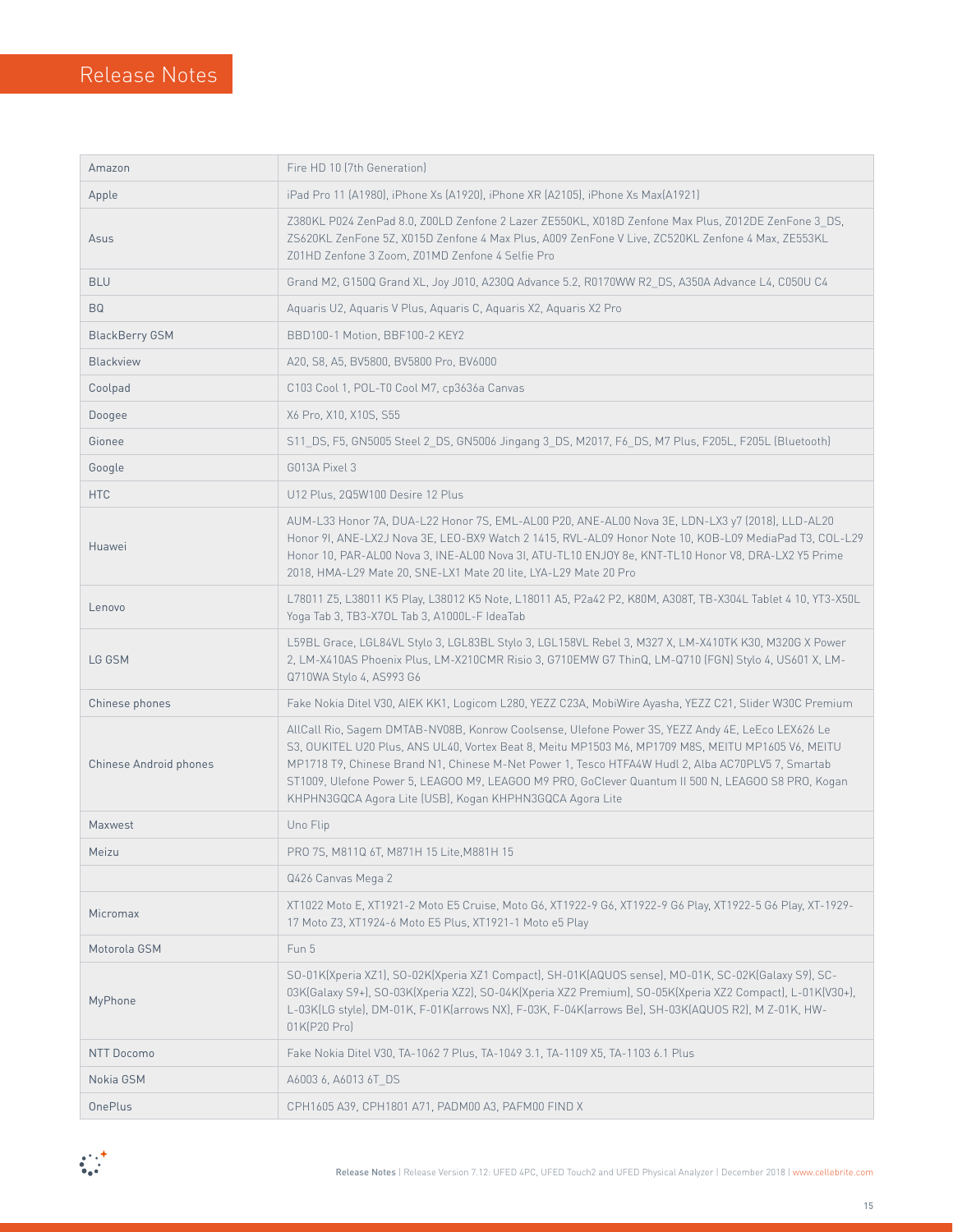| Amazon                 | Fire HD 10 (7th Generation)                                                                                                                                                                                                                                                                                                                                                                                                                                                    |  |  |
|------------------------|--------------------------------------------------------------------------------------------------------------------------------------------------------------------------------------------------------------------------------------------------------------------------------------------------------------------------------------------------------------------------------------------------------------------------------------------------------------------------------|--|--|
| Apple                  | iPad Pro 11 (A1980), iPhone Xs (A1920), iPhone XR (A2105), iPhone Xs Max(A1921)                                                                                                                                                                                                                                                                                                                                                                                                |  |  |
| Asus                   | Z380KL P024 ZenPad 8.0, Z00LD Zenfone 2 Lazer ZE550KL, X018D Zenfone Max Plus, Z012DE ZenFone 3 DS,<br>ZS620KL ZenFone 5Z, X015D Zenfone 4 Max Plus, A009 ZenFone V Live, ZC520KL Zenfone 4 Max, ZE553KL<br>Z01HD Zenfone 3 Zoom, Z01MD Zenfone 4 Selfie Pro                                                                                                                                                                                                                   |  |  |
| <b>BLU</b>             | Grand M2, G150Q Grand XL, Joy J010, A230Q Advance 5.2, R0170WW R2 DS, A350A Advance L4, C050U C4                                                                                                                                                                                                                                                                                                                                                                               |  |  |
| <b>BQ</b>              | Aquaris U2, Aquaris V Plus, Aquaris C, Aquaris X2, Aquaris X2 Pro                                                                                                                                                                                                                                                                                                                                                                                                              |  |  |
| <b>BlackBerry GSM</b>  | BBD100-1 Motion, BBF100-2 KEY2                                                                                                                                                                                                                                                                                                                                                                                                                                                 |  |  |
| Blackview              | A20, S8, A5, BV5800, BV5800 Pro, BV6000                                                                                                                                                                                                                                                                                                                                                                                                                                        |  |  |
| Coolpad                | C103 Cool 1, POL-T0 Cool M7, cp3636a Canvas                                                                                                                                                                                                                                                                                                                                                                                                                                    |  |  |
| Doogee                 | X6 Pro, X10, X10S, S55                                                                                                                                                                                                                                                                                                                                                                                                                                                         |  |  |
| Gionee                 | S11_DS, F5, GN5005 Steel 2_DS, GN5006 Jingang 3_DS, M2017, F6_DS, M7 Plus, F205L, F205L (Bluetooth)                                                                                                                                                                                                                                                                                                                                                                            |  |  |
| Google                 | G013A Pixel 3                                                                                                                                                                                                                                                                                                                                                                                                                                                                  |  |  |
| <b>HTC</b>             | U12 Plus, 2Q5W100 Desire 12 Plus                                                                                                                                                                                                                                                                                                                                                                                                                                               |  |  |
| Huawei                 | AUM-L33 Honor 7A, DUA-L22 Honor 7S, EML-AL00 P20, ANE-AL00 Nova 3E, LDN-LX3 y7 (2018), LLD-AL20<br>Honor 9I, ANE-LX2J Nova 3E, LEO-BX9 Watch 2 1415, RVL-AL09 Honor Note 10, KOB-L09 MediaPad T3, COL-L29<br>Honor 10, PAR-AL00 Nova 3, INE-AL00 Nova 3I, ATU-TL10 ENJOY 8e, KNT-TL10 Honor V8, DRA-LX2 Y5 Prime<br>2018, HMA-L29 Mate 20, SNE-LX1 Mate 20 lite, LYA-L29 Mate 20 Pro                                                                                           |  |  |
| Lenovo                 | L78011 Z5, L38011 K5 Play, L38012 K5 Note, L18011 A5, P2a42 P2, K80M, A308T, TB-X304L Tablet 4 10, YT3-X50L<br>Yoga Tab 3, TB3-X70L Tab 3, A1000L-F IdeaTab                                                                                                                                                                                                                                                                                                                    |  |  |
| LG GSM                 | L59BL Grace, LGL84VL Stylo 3, LGL83BL Stylo 3, LGL158VL Rebel 3, M327 X, LM-X410TK K30, M320G X Power<br>2, LM-X410AS Phoenix Plus, LM-X210CMR Risio 3, G710EMW G7 ThinQ, LM-Q710 (FGN) Stylo 4, US601 X, LM-<br>Q710WA Stylo 4, AS993 G6                                                                                                                                                                                                                                      |  |  |
| Chinese phones         | Fake Nokia Ditel V30, AIEK KK1, Logicom L280, YEZZ C23A, MobiWire Ayasha, YEZZ C21, Slider W30C Premium                                                                                                                                                                                                                                                                                                                                                                        |  |  |
| Chinese Android phones | AllCall Rio, Sagem DMTAB-NV08B, Konrow Coolsense, Ulefone Power 3S, YEZZ Andy 4E, LeEco LEX626 Le<br>S3, OUKITEL U20 Plus, ANS UL40, Vortex Beat 8, Meitu MP1503 M6, MP1709 M8S, MEITU MP1605 V6, MEITU<br>MP1718 T9, Chinese Brand N1, Chinese M-Net Power 1, Tesco HTFA4W Hudl 2, Alba AC70PLV5 7, Smartab<br>ST1009, Ulefone Power 5, LEAGOO M9, LEAGOO M9 PRO, GoClever Quantum II 500 N, LEAGOO S8 PRO, Kogan<br>KHPHN3GQCA Agora Lite (USB), Kogan KHPHN3GQCA Agora Lite |  |  |
| Maxwest                | Uno Flip                                                                                                                                                                                                                                                                                                                                                                                                                                                                       |  |  |
| Meizu                  | PRO 7S, M811Q 6T, M871H 15 Lite, M881H 15                                                                                                                                                                                                                                                                                                                                                                                                                                      |  |  |
|                        | Q426 Canvas Mega 2                                                                                                                                                                                                                                                                                                                                                                                                                                                             |  |  |
| Micromax               | XT1022 Moto E, XT1921-2 Moto E5 Cruise, Moto G6, XT1922-9 G6, XT1922-9 G6 Play, XT1922-5 G6 Play, XT-1929-<br>17 Moto Z3, XT1924-6 Moto E5 Plus, XT1921-1 Moto e5 Play                                                                                                                                                                                                                                                                                                         |  |  |
| Motorola GSM           | Fun 5                                                                                                                                                                                                                                                                                                                                                                                                                                                                          |  |  |
| MyPhone                | SO-01K(Xperia XZ1), SO-02K(Xperia XZ1 Compact), SH-01K(AQUOS sense), MO-01K, SC-02K(Galaxy S9), SC-<br>03K(Galaxy S9+), S0-03K(Xperia XZ2), S0-04K(Xperia XZ2 Premium), S0-05K(Xperia XZ2 Compact), L-01K(V30+),<br>L-03K(LG style), DM-01K, F-01K(arrows NX), F-03K, F-04K(arrows Be), SH-03K(AQUOS R2), M Z-01K, HW-<br>01K(P20 Pro)                                                                                                                                         |  |  |
| <b>NTT Docomo</b>      | Fake Nokia Ditel V30, TA-1062 7 Plus, TA-1049 3.1, TA-1109 X5, TA-1103 6.1 Plus                                                                                                                                                                                                                                                                                                                                                                                                |  |  |
| Nokia GSM              | A6003 6, A6013 6T DS                                                                                                                                                                                                                                                                                                                                                                                                                                                           |  |  |
| <b>OnePlus</b>         | CPH1605 A39, CPH1801 A71, PADM00 A3, PAFM00 FIND X                                                                                                                                                                                                                                                                                                                                                                                                                             |  |  |

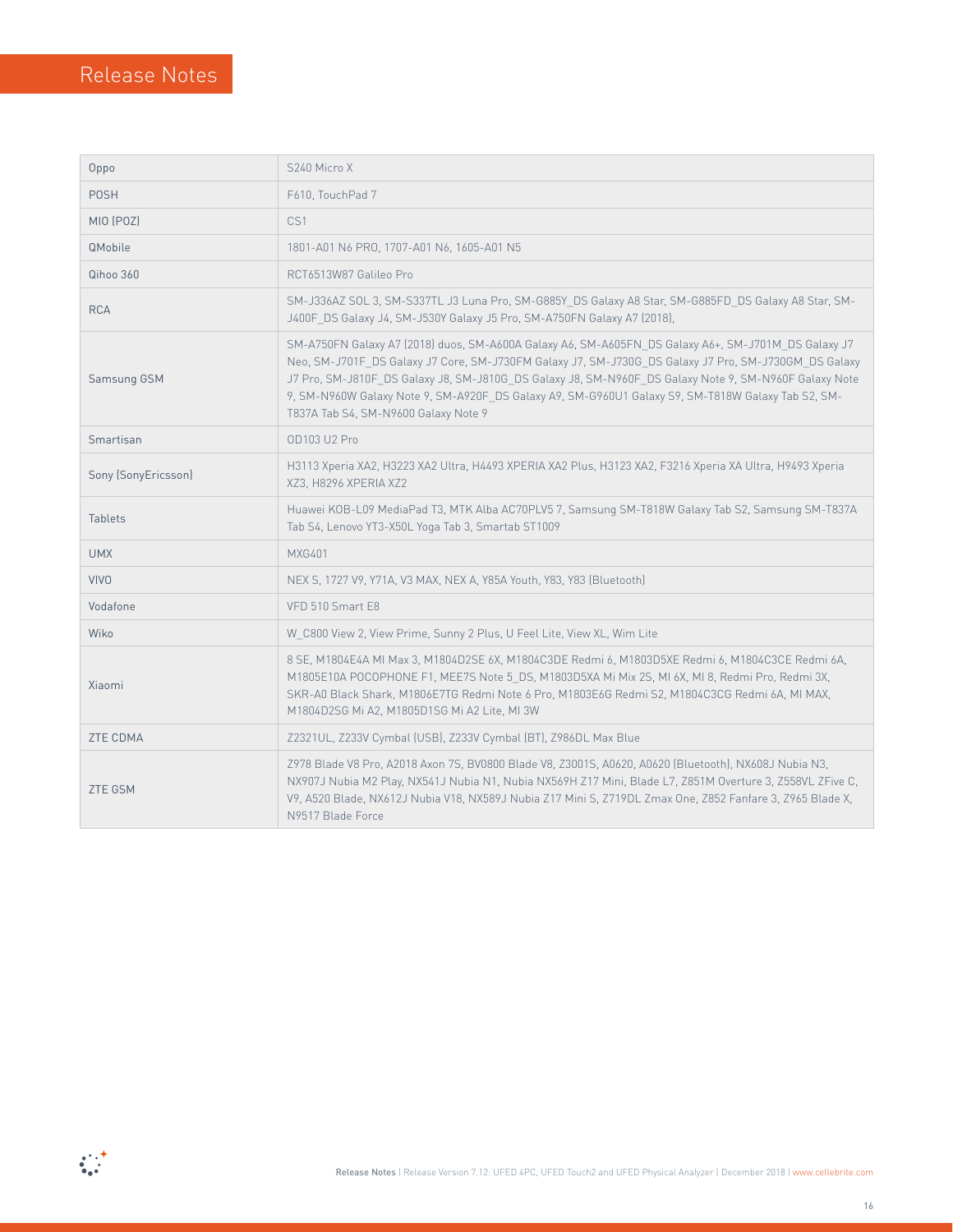| Oppo                | S240 Micro X                                                                                                                                                                                                                                                                                                                                                                                                                                                       |  |
|---------------------|--------------------------------------------------------------------------------------------------------------------------------------------------------------------------------------------------------------------------------------------------------------------------------------------------------------------------------------------------------------------------------------------------------------------------------------------------------------------|--|
| <b>POSH</b>         | F610, TouchPad 7                                                                                                                                                                                                                                                                                                                                                                                                                                                   |  |
| MIO (POZ)           | CS1                                                                                                                                                                                                                                                                                                                                                                                                                                                                |  |
| QMobile             | 1801-A01 N6 PRO, 1707-A01 N6, 1605-A01 N5                                                                                                                                                                                                                                                                                                                                                                                                                          |  |
| Qihoo 360           | RCT6513W87 Galileo Pro                                                                                                                                                                                                                                                                                                                                                                                                                                             |  |
| <b>RCA</b>          | SM-J336AZ SOL 3, SM-S337TL J3 Luna Pro, SM-G885Y DS Galaxy A8 Star, SM-G885FD DS Galaxy A8 Star, SM-<br>J400F DS Galaxy J4, SM-J530Y Galaxy J5 Pro, SM-A750FN Galaxy A7 (2018),                                                                                                                                                                                                                                                                                    |  |
| Samsung GSM         | SM-A750FN Galaxy A7 (2018) duos, SM-A600A Galaxy A6, SM-A605FN DS Galaxy A6+, SM-J701M DS Galaxy J7<br>Neo, SM-J701F DS Galaxy J7 Core, SM-J730FM Galaxy J7, SM-J730G DS Galaxy J7 Pro, SM-J730GM DS Galaxy<br>J7 Pro, SM-J810F DS Galaxy J8, SM-J810G DS Galaxy J8, SM-N960F DS Galaxy Note 9, SM-N960F Galaxy Note<br>9, SM-N960W Galaxy Note 9, SM-A920F_DS Galaxy A9, SM-G960U1 Galaxy S9, SM-T818W Galaxy Tab S2, SM-<br>T837A Tab S4, SM-N9600 Galaxy Note 9 |  |
| Smartisan           | OD103 U2 Pro                                                                                                                                                                                                                                                                                                                                                                                                                                                       |  |
| Sony (SonyEricsson) | H3113 Xperia XA2, H3223 XA2 Ultra, H4493 XPERIA XA2 Plus, H3123 XA2, F3216 Xperia XA Ultra, H9493 Xperia<br>XZ3, H8296 XPERIA XZ2                                                                                                                                                                                                                                                                                                                                  |  |
| <b>Tablets</b>      | Huawei KOB-L09 MediaPad T3, MTK Alba AC70PLV5 7, Samsung SM-T818W Galaxy Tab S2, Samsung SM-T837A<br>Tab S4, Lenovo YT3-X50L Yoga Tab 3, Smartab ST1009                                                                                                                                                                                                                                                                                                            |  |
| <b>UMX</b>          | <b>MXG401</b>                                                                                                                                                                                                                                                                                                                                                                                                                                                      |  |
| <b>VIVO</b>         | NEX S, 1727 V9, Y71A, V3 MAX, NEX A, Y85A Youth, Y83, Y83 (Bluetooth)                                                                                                                                                                                                                                                                                                                                                                                              |  |
| Vodafone            | VFD 510 Smart E8                                                                                                                                                                                                                                                                                                                                                                                                                                                   |  |
| Wiko                | W C800 View 2, View Prime, Sunny 2 Plus, U Feel Lite, View XL, Wim Lite                                                                                                                                                                                                                                                                                                                                                                                            |  |
| Xiaomi              | 8 SE, M1804E4A MI Max 3, M1804D2SE 6X, M1804C3DE Redmi 6, M1803D5XE Redmi 6, M1804C3CE Redmi 6A,<br>M1805E10A POCOPHONE F1, MEE7S Note 5 DS, M1803D5XA Mi Mix 2S, MI 6X, MI 8, Redmi Pro, Redmi 3X,<br>SKR-A0 Black Shark, M1806E7TG Redmi Note 6 Pro, M1803E6G Redmi S2, M1804C3CG Redmi 6A, MI MAX,<br>M1804D2SG Mi A2, M1805D1SG Mi A2 Lite, MI 3W                                                                                                              |  |
| <b>ZTE CDMA</b>     | Z2321UL, Z233V Cymbal (USB), Z233V Cymbal (BT), Z986DL Max Blue                                                                                                                                                                                                                                                                                                                                                                                                    |  |
| <b>ZTE GSM</b>      | Z978 Blade V8 Pro, A2018 Axon 7S, BV0800 Blade V8, Z3001S, A0620, A0620 (Bluetooth), NX608J Nubia N3,<br>NX907J Nubia M2 Play, NX541J Nubia N1, Nubia NX569H Z17 Mini, Blade L7, Z851M Overture 3, Z558VL ZFive C,<br>V9, A520 Blade, NX612J Nubia V18, NX589J Nubia Z17 Mini S, Z719DL Zmax One, Z852 Fanfare 3, Z965 Blade X,<br>N9517 Blade Force                                                                                                               |  |